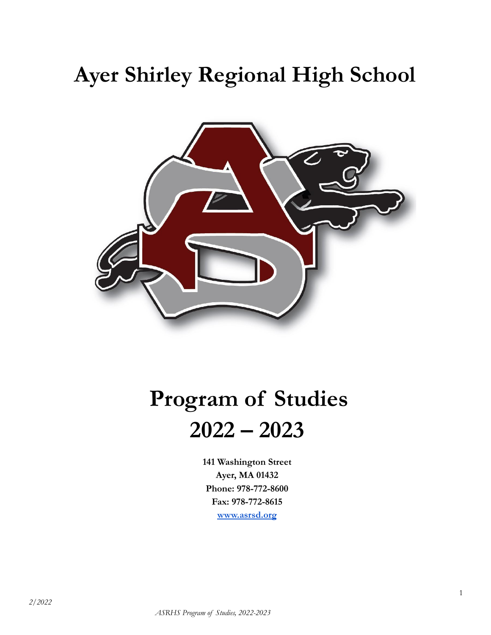# **Ayer Shirley Regional High School**



# **Program of Studies 2022 – 2023**

**141 Washington Street Ayer, MA 01432 Phone: 978-772-8600 Fax: 978-772-8615 [www.asrsd.org](http://www.asrsd.org)**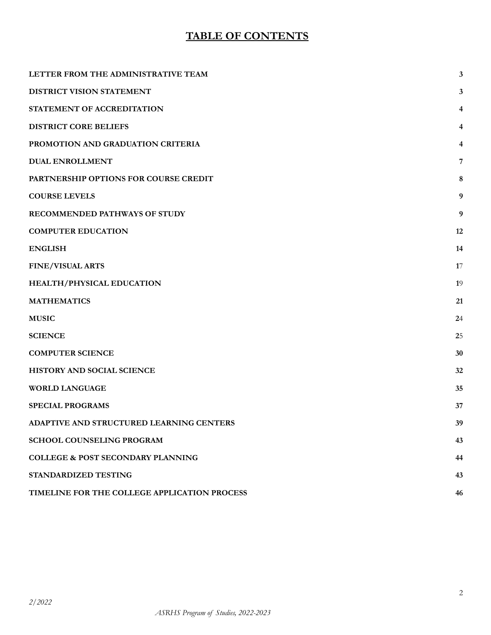# **TABLE OF CONTENTS**

| LETTER FROM THE ADMINISTRATIVE TEAM          | 3              |
|----------------------------------------------|----------------|
| DISTRICT VISION STATEMENT                    | 3              |
| STATEMENT OF ACCREDITATION                   | 4              |
| <b>DISTRICT CORE BELIEFS</b>                 | 4              |
| PROMOTION AND GRADUATION CRITERIA            | 4              |
| <b>DUAL ENROLLMENT</b>                       | $\overline{7}$ |
| PARTNERSHIP OPTIONS FOR COURSE CREDIT        | 8              |
| <b>COURSE LEVELS</b>                         | 9              |
| RECOMMENDED PATHWAYS OF STUDY                | 9              |
| <b>COMPUTER EDUCATION</b>                    | 12             |
| <b>ENGLISH</b>                               | 14             |
| <b>FINE/VISUAL ARTS</b>                      | 17             |
| HEALTH/PHYSICAL EDUCATION                    | 19             |
| <b>MATHEMATICS</b>                           | 21             |
| <b>MUSIC</b>                                 | 24             |
| <b>SCIENCE</b>                               | 25             |
| <b>COMPUTER SCIENCE</b>                      | 30             |
| HISTORY AND SOCIAL SCIENCE                   | 32             |
| <b>WORLD LANGUAGE</b>                        | 35             |
| <b>SPECIAL PROGRAMS</b>                      | 37             |
| ADAPTIVE AND STRUCTURED LEARNING CENTERS     | 39             |
| <b>SCHOOL COUNSELING PROGRAM</b>             | 43             |
| <b>COLLEGE &amp; POST SECONDARY PLANNING</b> | 44             |
| STANDARDIZED TESTING                         | 43             |
| TIMELINE FOR THE COLLEGE APPLICATION PROCESS | 46             |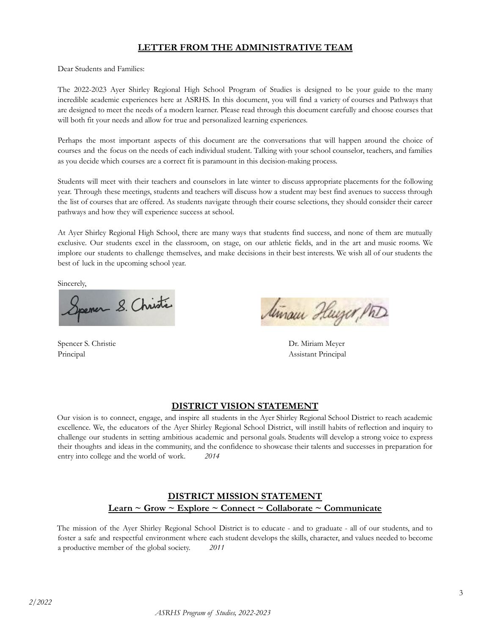### **LETTER FROM THE ADMINISTRATIVE TEAM**

<span id="page-2-0"></span>Dear Students and Families:

The 2022-2023 Ayer Shirley Regional High School Program of Studies is designed to be your guide to the many incredible academic experiences here at ASRHS. In this document, you will find a variety of courses and Pathways that are designed to meet the needs of a modern learner. Please read through this document carefully and choose courses that will both fit your needs and allow for true and personalized learning experiences.

Perhaps the most important aspects of this document are the conversations that will happen around the choice of courses and the focus on the needs of each individual student. Talking with your school counselor, teachers, and families as you decide which courses are a correct fit is paramount in this decision-making process.

Students will meet with their teachers and counselors in late winter to discuss appropriate placements for the following year. Through these meetings, students and teachers will discuss how a student may best find avenues to success through the list of courses that are offered. As students navigate through their course selections, they should consider their career pathways and how they will experience success at school.

At Ayer Shirley Regional High School, there are many ways that students find success, and none of them are mutually exclusive. Our students excel in the classroom, on stage, on our athletic fields, and in the art and music rooms. We implore our students to challenge themselves, and make decisions in their best interests. We wish all of our students the best of luck in the upcoming school year.

Sincerely,

Spener S. Christie

Spencer S. Christie Dr. Miriam Meyer

Minaur Huyer, Ph

Principal Assistant Principal

### **DISTRICT VISION STATEMENT**

<span id="page-2-1"></span>Our vision is to connect, engage, and inspire all students in the Ayer Shirley Regional School District to reach academic excellence. We, the educators of the Ayer Shirley Regional School District, will instill habits of reflection and inquiry to challenge our students in setting ambitious academic and personal goals. Students will develop a strong voice to express their thoughts and ideas in the community, and the confidence to showcase their talents and successes in preparation for entry into college and the world of work. *2014*

### **DISTRICT MISSION STATEMENT Learn ~ Grow ~ Explore ~ Connect ~ Collaborate ~ Communicate**

The mission of the Ayer Shirley Regional School District is to educate - and to graduate - all of our students, and to foster a safe and respectful environment where each student develops the skills, character, and values needed to become a productive member of the global society. *2011*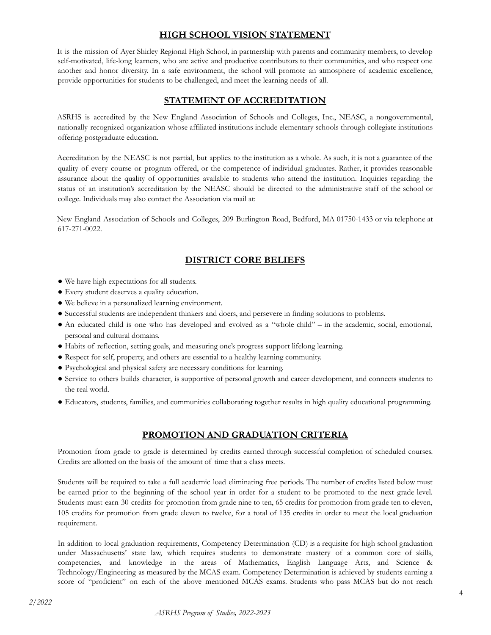# **HIGH SCHOOL VISION STATEMENT**

It is the mission of Ayer Shirley Regional High School, in partnership with parents and community members, to develop self-motivated, life-long learners, who are active and productive contributors to their communities, and who respect one another and honor diversity. In a safe environment, the school will promote an atmosphere of academic excellence, provide opportunities for students to be challenged, and meet the learning needs of all.

# **STATEMENT OF ACCREDITATION**

<span id="page-3-0"></span>ASRHS is accredited by the New England Association of Schools and Colleges, Inc., NEASC, a nongovernmental, nationally recognized organization whose affiliated institutions include elementary schools through collegiate institutions offering postgraduate education.

Accreditation by the NEASC is not partial, but applies to the institution as a whole. As such, it is not a guarantee of the quality of every course or program offered, or the competence of individual graduates. Rather, it provides reasonable assurance about the quality of opportunities available to students who attend the institution. Inquiries regarding the status of an institution's accreditation by the NEASC should be directed to the administrative staff of the school or college. Individuals may also contact the Association via mail at:

New England Association of Schools and Colleges, 209 Burlington Road, Bedford, MA 01750-1433 or via telephone at 617-271-0022.

# **DISTRICT CORE BELIEFS**

- <span id="page-3-1"></span>● We have high expectations for all students.
- Every student deserves a quality education.
- We believe in a personalized learning environment.
- Successful students are independent thinkers and doers, and persevere in finding solutions to problems.
- An educated child is one who has developed and evolved as a "whole child" in the academic, social, emotional, personal and cultural domains.
- Habits of reflection, setting goals, and measuring one's progress support lifelong learning.
- Respect for self, property, and others are essential to a healthy learning community.
- Psychological and physical safety are necessary conditions for learning.
- Service to others builds character, is supportive of personal growth and career development, and connects students to the real world.
- Educators, students, families, and communities collaborating together results in high quality educational programming.

# **PROMOTION AND GRADUATION CRITERIA**

<span id="page-3-2"></span>Promotion from grade to grade is determined by credits earned through successful completion of scheduled courses. Credits are allotted on the basis of the amount of time that a class meets.

Students will be required to take a full academic load eliminating free periods. The number of credits listed below must be earned prior to the beginning of the school year in order for a student to be promoted to the next grade level. Students must earn 30 credits for promotion from grade nine to ten, 65 credits for promotion from grade ten to eleven, 105 credits for promotion from grade eleven to twelve, for a total of 135 credits in order to meet the local graduation requirement.

In addition to local graduation requirements, Competency Determination (CD) is a requisite for high school graduation under Massachusetts' state law, which requires students to demonstrate mastery of a common core of skills, competencies, and knowledge in the areas of Mathematics, English Language Arts, and Science & Technology/Engineering as measured by the MCAS exam. Competency Determination is achieved by students earning a score of "proficient" on each of the above mentioned MCAS exams. Students who pass MCAS but do not reach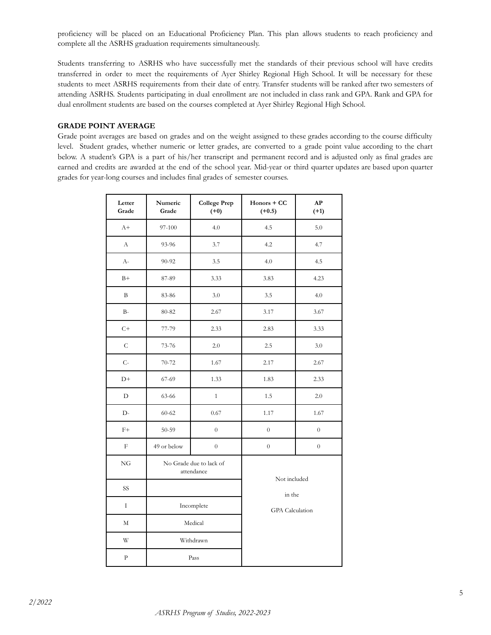proficiency will be placed on an Educational Proficiency Plan. This plan allows students to reach proficiency and complete all the ASRHS graduation requirements simultaneously.

Students transferring to ASRHS who have successfully met the standards of their previous school will have credits transferred in order to meet the requirements of Ayer Shirley Regional High School. It will be necessary for these students to meet ASRHS requirements from their date of entry. Transfer students will be ranked after two semesters of attending ASRHS. Students participating in dual enrollment are not included in class rank and GPA. Rank and GPA for dual enrollment students are based on the courses completed at Ayer Shirley Regional High School.

#### **GRADE POINT AVERAGE**

Grade point averages are based on grades and on the weight assigned to these grades according to the course difficulty level. Student grades, whether numeric or letter grades, are converted to a grade point value according to the chart below. A student's GPA is a part of his/her transcript and permanent record and is adjusted only as final grades are earned and credits are awarded at the end of the school year. Mid-year or third quarter updates are based upon quarter grades for year-long courses and includes final grades of semester courses.

| Letter<br>Grade | Numeric<br>Grade | <b>College Prep</b><br>$(+0)$         | Honors + CC<br>$(+0.5)$ | AP<br>$(+1)$     |
|-----------------|------------------|---------------------------------------|-------------------------|------------------|
| $A+$            | 97-100           | 4.0                                   | 4.5                     | 5.0              |
| $\rm A$         | 93-96            | 3.7                                   | 4.2                     | 4.7              |
| $A-$            | 90-92            | 3.5                                   | 4.0                     | 4.5              |
| $B+$            | 87-89            | 3.33                                  | 3.83                    | 4.23             |
| B               | 83-86            | 3.0                                   | 3.5                     | 4.0              |
| $B-$            | 80-82            | 2.67                                  | 3.17                    | 3.67             |
| $C+$            | 77-79            | 2.33                                  | 2.83                    | 3.33             |
| $\mathsf C$     | 73-76            | 2.0                                   | 2.5                     | 3.0              |
| $C-$            | $70 - 72$        | 1.67                                  | 2.17                    | 2.67             |
| $D+$            | 67-69            | 1.33                                  | 1.83                    | 2.33             |
| $\mathbf D$     | 63-66            | $\mathbf{1}$                          | 1.5                     | 2.0              |
| $D-$            | $60 - 62$        | 0.67                                  | 1.17                    | 1.67             |
| $F+$            | 50-59            | $\boldsymbol{0}$                      | $\overline{0}$          | $\overline{0}$   |
| $\mathbf F$     | 49 or below      | $\boldsymbol{0}$                      | $\boldsymbol{0}$        | $\boldsymbol{0}$ |
| NG              |                  | No Grade due to lack of<br>attendance | Not included            |                  |
| SS              |                  |                                       | in the                  |                  |
| $\rm I$         | Incomplete       |                                       | <b>GPA</b> Calculation  |                  |
| M               |                  | Medical                               |                         |                  |
| W               |                  | Withdrawn                             |                         |                  |
| $\rm{P}$        |                  | Pass                                  |                         |                  |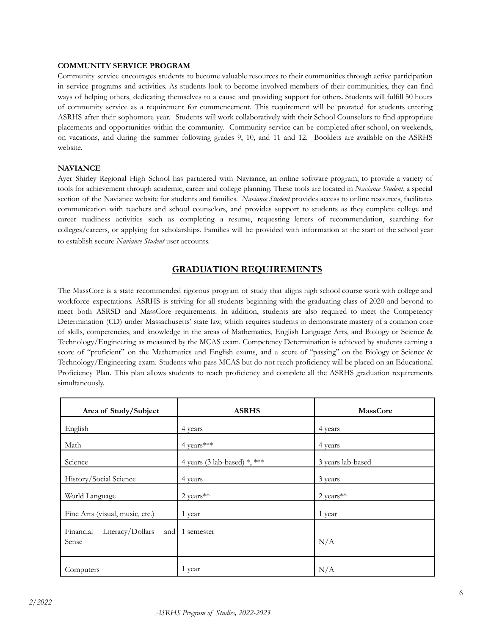#### **COMMUNITY SERVICE PROGRAM**

Community service encourages students to become valuable resources to their communities through active participation in service programs and activities. As students look to become involved members of their communities, they can find ways of helping others, dedicating themselves to a cause and providing support for others. Students will fulfill 50 hours of community service as a requirement for commencement. This requirement will be prorated for students entering ASRHS after their sophomore year. Students will work collaboratively with their School Counselors to find appropriate placements and opportunities within the community. Community service can be completed after school, on weekends, on vacations, and during the summer following grades 9, 10, and 11 and 12. Booklets are available on the ASRHS website.

#### **NAVIANCE**

Ayer Shirley Regional High School has partnered with Naviance, an online software program, to provide a variety of tools for achievement through academic, career and college planning. These tools are located in *Naviance Student*, a special section of the Naviance website for students and families. *Naviance Student* provides access to online resources, facilitates communication with teachers and school counselors, and provides support to students as they complete college and career readiness activities such as completing a resume, requesting letters of recommendation, searching for colleges/careers, or applying for scholarships. Families will be provided with information at the start of the school year to establish secure *Naviance Student* user accounts.

### **GRADUATION REQUIREMENTS**

The MassCore is a state recommended rigorous program of study that aligns high school course work with college and workforce expectations. ASRHS is striving for all students beginning with the graduating class of 2020 and beyond to meet both ASRSD and MassCore requirements. In addition, students are also required to meet the Competency Determination (CD) under Massachusetts' state law, which requires students to demonstrate mastery of a common core of skills, competencies, and knowledge in the areas of Mathematics, English Language Arts, and Biology or Science & Technology/Engineering as measured by the MCAS exam. Competency Determination is achieved by students earning a score of "proficient" on the Mathematics and English exams, and a score of "passing" on the Biology or Science & Technology/Engineering exam. Students who pass MCAS but do not reach proficiency will be placed on an Educational Proficiency Plan. This plan allows students to reach proficiency and complete all the ASRHS graduation requirements simultaneously.

| Area of Study/Subject                         | <b>ASRHS</b>                 | <b>MassCore</b>   |
|-----------------------------------------------|------------------------------|-------------------|
| English                                       | 4 years                      | 4 years           |
| Math                                          | 4 years***                   | 4 years           |
| Science                                       | 4 years (3 lab-based) *, *** | 3 years lab-based |
| History/Social Science                        | 4 years                      | 3 years           |
| World Language                                | $2$ years <sup>**</sup>      | 2 years**         |
| Fine Arts (visual, music, etc.)               | 1 year                       | 1 year            |
| Literacy/Dollars<br>Financial<br>and<br>Sense | 1 semester                   | N/A               |
| Computers                                     | 1 year                       | N/A               |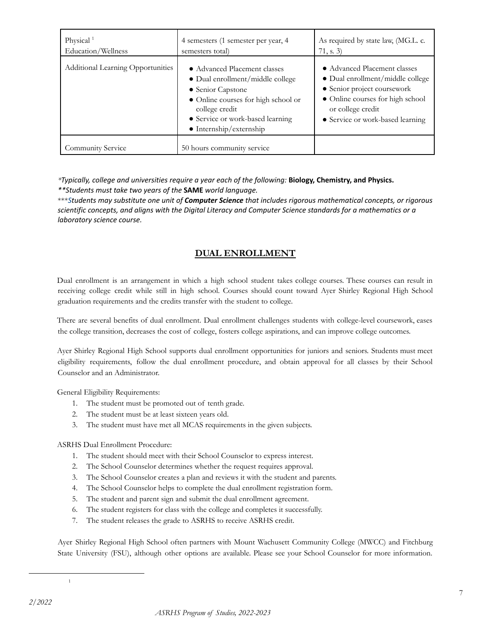| Physical <sup>1</sup><br>Education/Wellness | 4 semesters (1 semester per year, 4<br>semesters total)                                                                                                                                                               | As required by state law, (MG.L. c.<br>71, s. 3)                                                                                                                                             |
|---------------------------------------------|-----------------------------------------------------------------------------------------------------------------------------------------------------------------------------------------------------------------------|----------------------------------------------------------------------------------------------------------------------------------------------------------------------------------------------|
| <b>Additional Learning Opportunities</b>    | • Advanced Placement classes<br>• Dual enrollment/middle college<br>• Senior Capstone<br>• Online courses for high school or<br>college credit<br>• Service or work-based learning<br>$\bullet$ Internship/externship | • Advanced Placement classes<br>• Dual enrollment/middle college<br>• Senior project coursework<br>• Online courses for high school<br>or college credit<br>• Service or work-based learning |
| <b>Community Service</b>                    | 50 hours community service                                                                                                                                                                                            |                                                                                                                                                                                              |

*\*Typically, college and universities require a year each of the following:* **Biology, Chemistry, and Physics.** *\*\*Students must take two years of the* **SAME** *world language.*

\*\*\**Students may substitute one unit of Computer Science that includes rigorous mathematical concepts, or rigorous* scientific concepts, and aligns with the Digital Literacy and Computer Science standards for a mathematics or a *laboratory science course.*

# **DUAL ENROLLMENT**

<span id="page-6-0"></span>Dual enrollment is an arrangement in which a high school student takes college courses. These courses can result in receiving college credit while still in high school. Courses should count toward Ayer Shirley Regional High School graduation requirements and the credits transfer with the student to college.

There are several benefits of dual enrollment. Dual enrollment challenges students with college-level coursework, eases the college transition, decreases the cost of college, fosters college aspirations, and can improve college outcomes.

Ayer Shirley Regional High School supports dual enrollment opportunities for juniors and seniors. Students must meet eligibility requirements, follow the dual enrollment procedure, and obtain approval for all classes by their School Counselor and an Administrator.

General Eligibility Requirements:

- 1. The student must be promoted out of tenth grade.
- 2. The student must be at least sixteen years old.
- 3. The student must have met all MCAS requirements in the given subjects.

ASRHS Dual Enrollment Procedure:

- 1. The student should meet with their School Counselor to express interest.
- 2. The School Counselor determines whether the request requires approval.
- 3. The School Counselor creates a plan and reviews it with the student and parents.
- 4. The School Counselor helps to complete the dual enrollment registration form.
- 5. The student and parent sign and submit the dual enrollment agreement.
- 6. The student registers for class with the college and completes it successfully.
- 7. The student releases the grade to ASRHS to receive ASRHS credit.

Ayer Shirley Regional High School often partners with Mount Wachusett Community College (MWCC) and Fitchburg State University (FSU), although other options are available. Please see your School Counselor for more information.

1

*<sup>2/2022</sup>*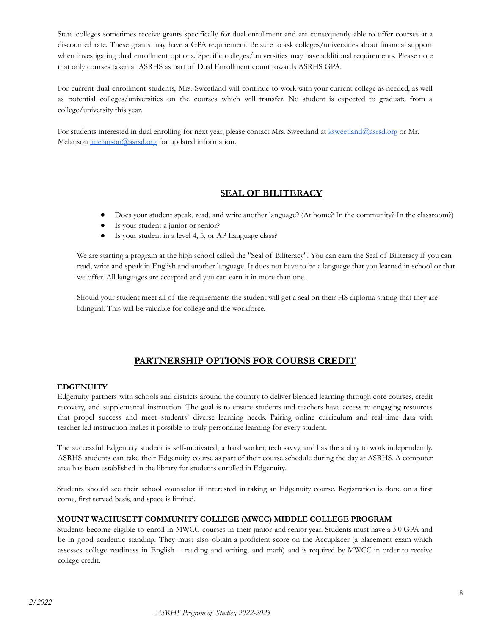State colleges sometimes receive grants specifically for dual enrollment and are consequently able to offer courses at a discounted rate. These grants may have a GPA requirement. Be sure to ask colleges/universities about financial support when investigating dual enrollment options. Specific colleges/universities may have additional requirements. Please note that only courses taken at ASRHS as part of Dual Enrollment count towards ASRHS GPA.

For current dual enrollment students, Mrs. Sweetland will continue to work with your current college as needed, as well as potential colleges/universities on the courses which will transfer. No student is expected to graduate from a college/university this year.

For students interested in dual enrolling for next year, please contact Mrs. Sweetland at [ksweetland@asrsd.org](mailto:ksweetland@asrsd.org) or Mr. Melanson [jmelanson@asrsd.org](mailto:jmelanson@asrsd.org) for updated information.

### **SEAL OF BILITERACY**

- Does your student speak, read, and write another language? (At home? In the community? In the classroom?)
- Is your student a junior or senior?
- Is your student in a level 4, 5, or AP Language class?

We are starting a program at the high school called the "Seal of Biliteracy". You can earn the Seal of Biliteracy if you can read, write and speak in English and another language. It does not have to be a language that you learned in school or that we offer. All languages are accepted and you can earn it in more than one.

Should your student meet all of the requirements the student will get a seal on their HS diploma stating that they are bilingual. This will be valuable for college and the workforce.

### **PARTNERSHIP OPTIONS FOR COURSE CREDIT**

#### <span id="page-7-0"></span>**EDGENUITY**

Edgenuity partners with schools and districts around the country to deliver blended learning through core courses, credit recovery, and supplemental instruction. The goal is to ensure students and teachers have access to engaging resources that propel success and meet students' diverse learning needs. Pairing online curriculum and real-time data with teacher-led instruction makes it possible to truly personalize learning for every student.

The successful Edgenuity student is self-motivated, a hard worker, tech savvy, and has the ability to work independently. ASRHS students can take their Edgenuity course as part of their course schedule during the day at ASRHS. A computer area has been established in the library for students enrolled in Edgenuity.

Students should see their school counselor if interested in taking an Edgenuity course. Registration is done on a first come, first served basis, and space is limited.

#### **MOUNT WACHUSETT COMMUNITY COLLEGE (MWCC) MIDDLE COLLEGE PROGRAM**

Students become eligible to enroll in MWCC courses in their junior and senior year. Students must have a 3.0 GPA and be in good academic standing. They must also obtain a proficient score on the Accuplacer (a placement exam which assesses college readiness in English – reading and writing, and math) and is required by MWCC in order to receive college credit.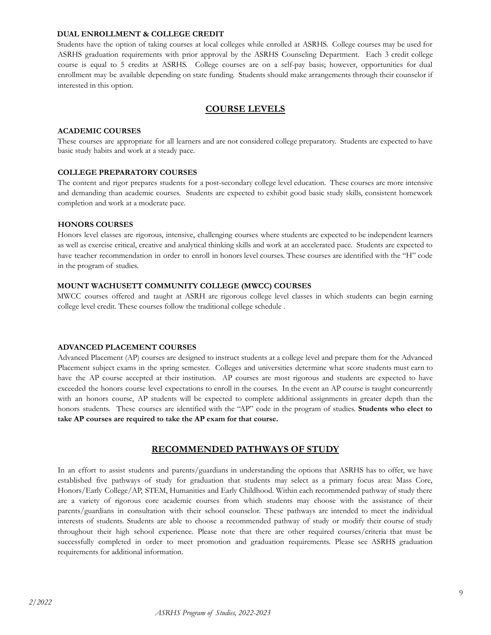#### **DUAL ENROLLMENT & COLLEGE CREDIT**

Students have the option of taking courses at local colleges while enrolled at ASRHS. College courses may be used for ASRHS graduation requirements with prior approval by the ASRHS Counseling Department. Each 3 credit college course is equal to 5 credits at ASRHS. College courses are on a self-pay basis; however, opportunities for dual enrollment may be available depending on state funding. Students should make arrangements through their counselor if interested in this option.

### **COURSE LEVELS**

#### <span id="page-8-0"></span>**ACADEMIC COURSES**

These courses are appropriate for all learners and are not considered college preparatory. Students are expected to have basic study habits and work at a steady pace.

#### **COLLEGE PREPARATORY COURSES**

The content and rigor prepares students for a post-secondary college level education. These courses are more intensive and demanding than academic courses. Students are expected to exhibit good basic study skills, consistent homework completion and work at a moderate pace.

#### **HONORS COURSES**

Honors level classes are rigorous, intensive, challenging courses where students are expected to be independent learners as well as exercise critical, creative and analytical thinking skills and work at an accelerated pace. Students are expected to have teacher recommendation in order to enroll in honors level courses. These courses are identified with the "H" code in the program of studies.

#### **MOUNT WACHUSETT COMMUNITY COLLEGE (MWCC) COURSES**

MWCC courses offered and taught at ASRH are rigorous college level classes in which students can begin earning college level credit. These courses follow the traditional college schedule .

#### **ADVANCED PLACEMENT COURSES**

Advanced Placement (AP) courses are designed to instruct students at a college level and prepare them for the Advanced Placement subject exams in the spring semester. Colleges and universities determine what score students must earn to have the AP course accepted at their institution. AP courses are most rigorous and students are expected to have exceeded the honors course level expectations to enroll in the courses. In the event an AP course is taught concurrently with an honors course, AP students will be expected to complete additional assignments in greater depth than the honors students. These courses are identified with the "AP" code in the program of studies. **Students who elect to take AP courses are required to take the AP exam for that course.**

### **RECOMMENDED PATHWAYS OF STUDY**

<span id="page-8-1"></span>In an effort to assist students and parents/guardians in understanding the options that ASRHS has to offer, we have established five pathways of study for graduation that students may select as a primary focus area: Mass Core, Honors/Early College/AP, STEM, Humanities and Early Childhood. Within each recommended pathway of study there are a variety of rigorous core academic courses from which students may choose with the assistance of their parents/guardians in consultation with their school counselor. These pathways are intended to meet the individual interests of students. Students are able to choose a recommended pathway of study or modify their course of study throughout their high school experience. Please note that there are other required courses/criteria that must be successfully completed in order to meet promotion and graduation requirements. Please see ASRHS graduation requirements for additional information.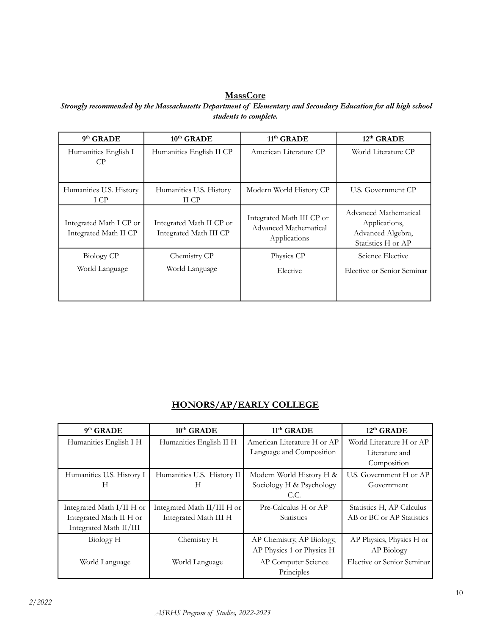# **MassCore**

*Strongly recommended by the Massachusetts Department of Elementary and Secondary Education for all high school students to complete.*

| $9th$ GRADE                                      | 10 <sup>th</sup> GRADE                             | 11 <sup>th</sup> GRADE                                             | 12 <sup>th</sup> GRADE                                                            |
|--------------------------------------------------|----------------------------------------------------|--------------------------------------------------------------------|-----------------------------------------------------------------------------------|
| Humanities English I<br>CP.                      | Humanities English II CP                           | American Literature CP                                             | World Literature CP                                                               |
| Humanities U.S. History<br>I CP                  | Humanities U.S. History<br>II CP                   | Modern World History CP                                            | U.S. Government CP                                                                |
| Integrated Math I CP or<br>Integrated Math II CP | Integrated Math II CP or<br>Integrated Math III CP | Integrated Math III CP or<br>Advanced Mathematical<br>Applications | Advanced Mathematical<br>Applications,<br>Advanced Algebra,<br>Statistics H or AP |
| Biology CP                                       | Chemistry CP                                       | Physics CP                                                         | Science Elective                                                                  |
| World Language                                   | World Language                                     | Elective                                                           | Elective or Senior Seminar                                                        |

# **HONORS/AP/EARLY COLLEGE**

| $9th$ GRADE               | $10^{\text{th}}$ GRADE      | 11 <sup>th</sup> GRADE      | $12th$ GRADE               |
|---------------------------|-----------------------------|-----------------------------|----------------------------|
| Humanities English I H    | Humanities English II H     | American Literature H or AP | World Literature H or AP   |
|                           |                             | Language and Composition    | Literature and             |
|                           |                             |                             | Composition                |
| Humanities U.S. History I | Humanities U.S. History II  | Modern World History H &    | U.S. Government H or AP    |
| H                         | H                           | Sociology H & Psychology    | Government                 |
|                           |                             | C.C.                        |                            |
| Integrated Math I/II H or | Integrated Math II/III H or | Pre-Calculus H or AP        | Statistics H, AP Calculus  |
| Integrated Math II H or   | Integrated Math III H       | <b>Statistics</b>           | AB or BC or AP Statistics  |
| Integrated Math II/III    |                             |                             |                            |
| Biology H                 | Chemistry H                 | AP Chemistry, AP Biology,   | AP Physics, Physics H or   |
|                           |                             | AP Physics 1 or Physics H   | AP Biology                 |
| World Language            | World Language              | AP Computer Science         | Elective or Senior Seminar |
|                           |                             | Principles                  |                            |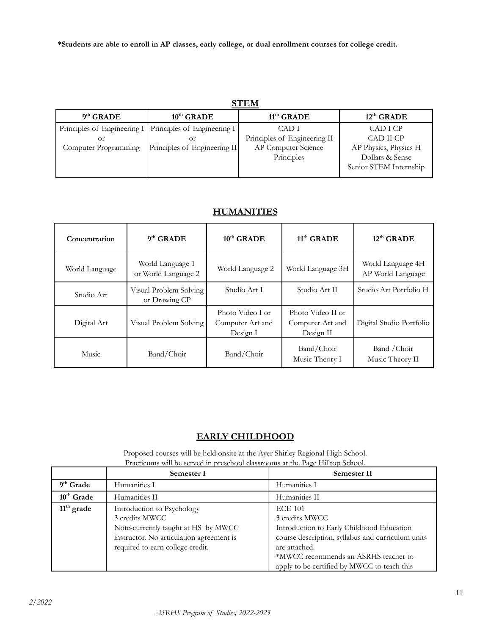**\*Students are able to enroll in AP classes, early college, or dual enrollment courses for college credit.**

| $9th$ GRADE                                          | $10^{\text{th}}$ GRADE                                    | $11th$ GRADE                 | $12th$ GRADE           |
|------------------------------------------------------|-----------------------------------------------------------|------------------------------|------------------------|
|                                                      | Principles of Engineering I   Principles of Engineering I | CAD I                        | CAD I CP               |
| Оr                                                   | Оr                                                        | Principles of Engineering II | CAD II CP              |
| Principles of Engineering II<br>Computer Programming |                                                           | AP Computer Science          | AP Physics, Physics H  |
|                                                      |                                                           | Principles                   | Dollars & Sense        |
|                                                      |                                                           |                              | Senior STEM Internship |
|                                                      |                                                           |                              |                        |

### **HUMANITIES**

| Concentration  | $9th$ GRADE                             | $10^{\text{th}}$ GRADE                           | $11th$ GRADE                                       | $12th$ GRADE                           |
|----------------|-----------------------------------------|--------------------------------------------------|----------------------------------------------------|----------------------------------------|
| World Language | World Language 1<br>or World Language 2 | World Language 2                                 | World Language 3H                                  | World Language 4H<br>AP World Language |
| Studio Art     | Visual Problem Solving<br>or Drawing CP | Studio Art I                                     | Studio Art II                                      | Studio Art Portfolio H                 |
| Digital Art    | Visual Problem Solving                  | Photo Video I or<br>Computer Art and<br>Design I | Photo Video II or<br>Computer Art and<br>Design II | Digital Studio Portfolio               |
| Music          | Band/Choir                              | Band/Choir                                       | Band/Choir<br>Music Theory I                       | Band / Choir<br>Music Theory II        |

# **EARLY CHILDHOOD**

Proposed courses will be held onsite at the Ayer Shirley Regional High School. Practicums will be served in preschool classrooms at the Page Hilltop School.

|              | Semester I                                                                                                                                                          | Semester II                                                                                                                                                                                                                                |
|--------------|---------------------------------------------------------------------------------------------------------------------------------------------------------------------|--------------------------------------------------------------------------------------------------------------------------------------------------------------------------------------------------------------------------------------------|
| $9th$ Grade  | Humanities I                                                                                                                                                        | Humanities I                                                                                                                                                                                                                               |
| $10th$ Grade | Humanities II                                                                                                                                                       | Humanities II                                                                                                                                                                                                                              |
| $11th$ grade | Introduction to Psychology<br>3 credits MWCC<br>Note-currently taught at HS by MWCC<br>instructor. No articulation agreement is<br>required to earn college credit. | <b>ECE 101</b><br>3 credits MWCC<br>Introduction to Early Childhood Education<br>course description, syllabus and curriculum units<br>are attached.<br>*MWCC recommends an ASRHS teacher to<br>apply to be certified by MWCC to teach this |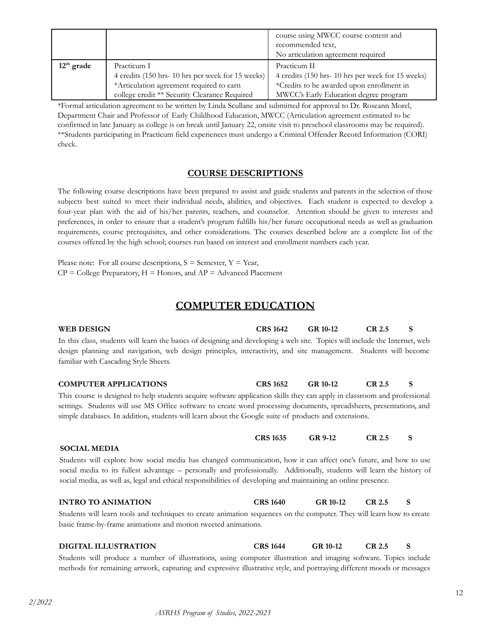|              |                                                  | course using MWCC course content and<br>recommended text, |
|--------------|--------------------------------------------------|-----------------------------------------------------------|
|              |                                                  | No articulation agreement required                        |
| $12th$ grade | Practicum I                                      | Practicum II                                              |
|              | 4 credits (150 hrs-10 hrs per week for 15 weeks) | 4 credits (150 hrs-10 hrs per week for 15 weeks)          |
|              | *Articulation agreement required to earn         | *Credits to be awarded upon enrollment in                 |
|              | college credit ** Security Clearance Required    | MWCC's Early Education degree program                     |

\*Formal articulation agreement to be written by Linda Scullane and submitted for approval to Dr. Roseann Morel, Department Chair and Professor of Early Childhood Education, MWCC (Articulation agreement estimated to be confirmed in late January as college is on break until January 22, onsite visit to preschool classrooms may be required). \*\*Students participating in Practicum field experiences must undergo a Criminal Offender Record Information (CORI) check.

### **COURSE DESCRIPTIONS**

The following course descriptions have been prepared to assist and guide students and parents in the selection of those subjects best suited to meet their individual needs, abilities, and objectives. Each student is expected to develop a four-year plan with the aid of his/her parents, teachers, and counselor. Attention should be given to interests and preferences, in order to ensure that a student's program fulfills his/her future occupational needs as well as graduation requirements, course prerequisites, and other considerations. The courses described below are a complete list of the courses offered by the high school; courses run based on interest and enrollment numbers each year.

Please note: For all course descriptions,  $S =$  Semester,  $Y =$  Year,  $CP =$  College Preparatory,  $H =$  Honors, and  $AP =$  Advanced Placement

# **COMPUTER EDUCATION**

<span id="page-11-0"></span>**WEB DESIGN CRS 1642 GR 10-12 CR 2.5 S** In this class, students will learn the basics of designing and developing a web site. Topics will include the Internet, web design planning and navigation, web design principles, interactivity, and site management. Students will become familiar with Cascading Style Sheets.

**COMPUTER APPLICATIONS CRS 1652 GR 10-12 CR 2.5 S** This course is designed to help students acquire software application skills they can apply in classroom and professional

settings. Students will use MS Office software to create word processing documents, spreadsheets, presentations, and simple databases. In addition, students will learn about the Google suite of products and extensions.

#### **SOCIAL MEDIA**

Students will explore how social media has changed communication, how it can affect one's future, and how to use social media to its fullest advantage – personally and professionally. Additionally, students will learn the history of social media, as well as, legal and ethical responsibilities of developing and maintaining an online presence.

**CRS 1635 GR 9-12 CR 2.5 S**

#### **INTRO TO ANIMATION CRS 1640 GR 10-12 CR 2.5 S**

Students will learn tools and techniques to create animation sequences on the computer. They will learn how to create basic frame-by-frame animations and motion tweeted animations.

### **DIGITAL ILLUSTRATION CRS 1644 GR 10-12 CR 2.5 S**

Students will produce a number of illustrations, using computer illustration and imaging software. Topics include methods for remaining artwork, capturing and expressive illustrative style, and portraying different moods or messages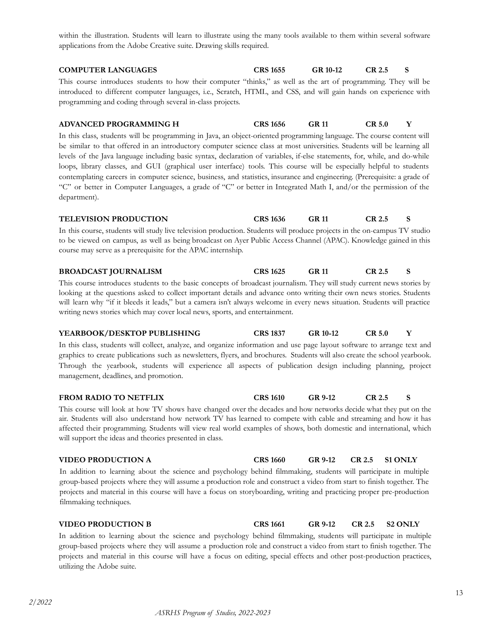within the illustration. Students will learn to illustrate using the many tools available to them within several software applications from the Adobe Creative suite. Drawing skills required.

**COMPUTER LANGUAGES CRS 1655 GR 10-12 CR 2.5 S** This course introduces students to how their computer "thinks," as well as the art of programming. They will be introduced to different computer languages, i.e., Scratch, HTML, and CSS, and will gain hands on experience with programming and coding through several in-class projects.

# **ADVANCED PROGRAMMING H CRS 1656 GR 11 CR 5.0 Y**

In this class, students will be programming in Java, an object-oriented programming language. The course content will be similar to that offered in an introductory computer science class at most universities. Students will be learning all levels of the Java language including basic syntax, declaration of variables, if-else statements, for, while, and do-while loops, library classes, and GUI (graphical user interface) tools. This course will be especially helpful to students contemplating careers in computer science, business, and statistics, insurance and engineering. (Prerequisite: a grade of "C" or better in Computer Languages, a grade of "C" or better in Integrated Math I, and/or the permission of the department).

| TELEVISION PRODUCTION                                                                                                     | <b>CRS</b> 1636 | GR 11 | CR 2.5 | - S |
|---------------------------------------------------------------------------------------------------------------------------|-----------------|-------|--------|-----|
| In this course, students will study live television production. Students will produce projects in the on-campus TV studio |                 |       |        |     |
| to be viewed on campus, as well as being broadcast on Ayer Public Access Channel (APAC). Knowledge gained in this         |                 |       |        |     |
| course may serve as a prerequisite for the APAC internship.                                                               |                 |       |        |     |

### **BROADCAST JOURNALISM CRS 1625 GR 11 CR 2.5 S**

This course introduces students to the basic concepts of broadcast journalism. They will study current news stories by looking at the questions asked to collect important details and advance onto writing their own news stories. Students will learn why "if it bleeds it leads," but a camera isn't always welcome in every news situation. Students will practice writing news stories which may cover local news, sports, and entertainment.

#### **YEARBOOK/DESKTOP PUBLISHING CRS 1837 GR 10-12 CR 5.0 Y**

In this class, students will collect, analyze, and organize information and use page layout software to arrange text and graphics to create publications such as newsletters, flyers, and brochures. Students will also create the school yearbook. Through the yearbook, students will experience all aspects of publication design including planning, project management, deadlines, and promotion.

#### **FROM RADIO TO NETFLIX CRS 1610 GR 9-12 CR 2.5 S**

This course will look at how TV shows have changed over the decades and how networks decide what they put on the air. Students will also understand how network TV has learned to compete with cable and streaming and how it has affected their programming. Students will view real world examples of shows, both domestic and international, which will support the ideas and theories presented in class.

#### **VIDEO PRODUCTION A CRS 1660 GR 9-12 CR 2.5 S1 ONLY**

In addition to learning about the science and psychology behind filmmaking, students will participate in multiple group-based projects where they will assume a production role and construct a video from start to finish together. The projects and material in this course will have a focus on storyboarding, writing and practicing proper pre-production filmmaking techniques.

#### **VIDEO PRODUCTION B CRS 1661 GR 9-12 CR 2.5 S2 ONLY**

In addition to learning about the science and psychology behind filmmaking, students will participate in multiple group-based projects where they will assume a production role and construct a video from start to finish together. The projects and material in this course will have a focus on editing, special effects and other post-production practices, utilizing the Adobe suite.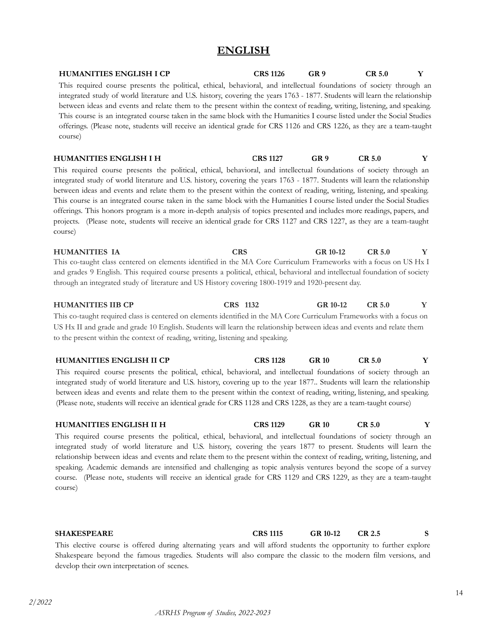# **ENGLISH**

<span id="page-13-0"></span>

| <b>HUMANITIES ENGLISH I CP</b><br>This required course presents the political, ethical, behavioral, and intellectual foundations of society through an<br>integrated study of world literature and U.S. history, covering the years 1763 - 1877. Students will learn the relationship<br>between ideas and events and relate them to the present within the context of reading, writing, listening, and speaking.<br>This course is an integrated course taken in the same block with the Humanities I course listed under the Social Studies<br>offerings. (Please note, students will receive an identical grade for CRS 1126 and CRS 1226, as they are a team-taught<br>course)                                                                                        | <b>CRS 1126</b> | GR <sub>9</sub> | <b>CR 5.0</b>     | Y |
|---------------------------------------------------------------------------------------------------------------------------------------------------------------------------------------------------------------------------------------------------------------------------------------------------------------------------------------------------------------------------------------------------------------------------------------------------------------------------------------------------------------------------------------------------------------------------------------------------------------------------------------------------------------------------------------------------------------------------------------------------------------------------|-----------------|-----------------|-------------------|---|
| <b>HUMANITIES ENGLISH I H</b>                                                                                                                                                                                                                                                                                                                                                                                                                                                                                                                                                                                                                                                                                                                                             | <b>CRS 1127</b> | GR <sub>9</sub> | CR 5.0            | Y |
| This required course presents the political, ethical, behavioral, and intellectual foundations of society through an<br>integrated study of world literature and U.S. history, covering the years 1763 - 1877. Students will learn the relationship<br>between ideas and events and relate them to the present within the context of reading, writing, listening, and speaking.<br>This course is an integrated course taken in the same block with the Humanities I course listed under the Social Studies<br>offerings. This honors program is a more in-depth analysis of topics presented and includes more readings, papers, and<br>projects. (Please note, students will receive an identical grade for CRS 1127 and CRS 1227, as they are a team-taught<br>course) |                 |                 |                   |   |
| <b>HUMANITIES IA</b><br><b>CRS</b>                                                                                                                                                                                                                                                                                                                                                                                                                                                                                                                                                                                                                                                                                                                                        |                 | GR 10-12        | CR <sub>5.0</sub> | Y |
| This co-taught class centered on elements identified in the MA Core Curriculum Frameworks with a focus on US Hx I<br>and grades 9 English. This required course presents a political, ethical, behavioral and intellectual foundation of society<br>through an integrated study of literature and US History covering 1800-1919 and 1920-present day.                                                                                                                                                                                                                                                                                                                                                                                                                     |                 |                 |                   |   |
| <b>HUMANITIES IIB CP</b><br>CRS 1132                                                                                                                                                                                                                                                                                                                                                                                                                                                                                                                                                                                                                                                                                                                                      |                 | GR 10-12        | <b>CR 5.0</b>     | Y |
| This co-taught required class is centered on elements identified in the MA Core Curriculum Frameworks with a focus on                                                                                                                                                                                                                                                                                                                                                                                                                                                                                                                                                                                                                                                     |                 |                 |                   |   |
| US Hx II and grade and grade 10 English. Students will learn the relationship between ideas and events and relate them<br>to the present within the context of reading, writing, listening and speaking.                                                                                                                                                                                                                                                                                                                                                                                                                                                                                                                                                                  |                 |                 |                   |   |
| <b>HUMANITIES ENGLISH II CP</b>                                                                                                                                                                                                                                                                                                                                                                                                                                                                                                                                                                                                                                                                                                                                           | <b>CRS 1128</b> | <b>GR 10</b>    | CR 5.0            | Y |
| This required course presents the political, ethical, behavioral, and intellectual foundations of society through an<br>integrated study of world literature and U.S. history, covering up to the year 1877 Students will learn the relationship<br>between ideas and events and relate them to the present within the context of reading, writing, listening, and speaking.<br>(Please note, students will receive an identical grade for CRS 1128 and CRS 1228, as they are a team-taught course)                                                                                                                                                                                                                                                                       |                 |                 |                   |   |

# **HUMANITIES ENGLISH II H CRS 1129 GR 10 CR 5.0 Y**

This required course presents the political, ethical, behavioral, and intellectual foundations of society through an integrated study of world literature and U.S. history, covering the years 1877 to present. Students will learn the relationship between ideas and events and relate them to the present within the context of reading, writing, listening, and speaking. Academic demands are intensified and challenging as topic analysis ventures beyond the scope of a survey course. (Please note, students will receive an identical grade for CRS 1129 and CRS 1229, as they are a team-taught course)

**SHAKESPEARE CRS 1115 GR 10-12 CR 2.5 S**

This elective course is offered during alternating years and will afford students the opportunity to further explore Shakespeare beyond the famous tragedies. Students will also compare the classic to the modern film versions, and develop their own interpretation of scenes.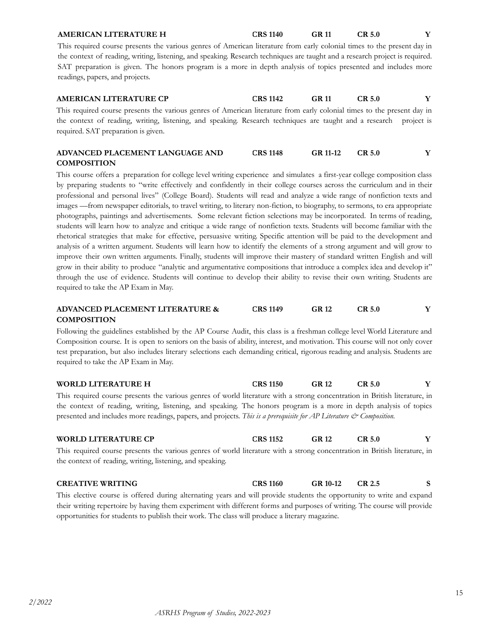## **AMERICAN LITERATURE H CRS 1140 GR 11 CR 5.0 Y**

This required course presents the various genres of American literature from early colonial times to the present day in the context of reading, writing, listening, and speaking. Research techniques are taught and a research project is required. SAT preparation is given. The honors program is a more in depth analysis of topics presented and includes more readings, papers, and projects.

| <b>AMERICAN LITERATURE CP</b>                                                                                           | <b>CRS</b> 1142 | GR 11 | CR <sub>5.0</sub> |  |
|-------------------------------------------------------------------------------------------------------------------------|-----------------|-------|-------------------|--|
| This required course presents the various genres of American literature from early colonial times to the present day in |                 |       |                   |  |
| the context of reading, writing, listening, and speaking. Research techniques are taught and a research project is      |                 |       |                   |  |
| required. SAT preparation is given.                                                                                     |                 |       |                   |  |

| ADVANCED PLACEMENT LANGUAGE AND | <b>CRS</b> 1148 | GR 11-12 | CR5.0 |  |
|---------------------------------|-----------------|----------|-------|--|
| <b>COMPOSITION</b>              |                 |          |       |  |

This course offers a preparation for college level writing experience and simulates a first-year college composition class by preparing students to "write effectively and confidently in their college courses across the curriculum and in their professional and personal lives" (College Board). Students will read and analyze a wide range of nonfiction texts and images —from newspaper editorials, to travel writing, to literary non-fiction, to biography, to sermons, to era appropriate photographs, paintings and advertisements. Some relevant fiction selections may be incorporated. In terms of reading, students will learn how to analyze and critique a wide range of nonfiction texts. Students will become familiar with the rhetorical strategies that make for effective, persuasive writing. Specific attention will be paid to the development and analysis of a written argument. Students will learn how to identify the elements of a strong argument and will grow to improve their own written arguments. Finally, students will improve their mastery of standard written English and will grow in their ability to produce "analytic and argumentative compositions that introduce a complex idea and develop it" through the use of evidence. Students will continue to develop their ability to revise their own writing. Students are required to take the AP Exam in May.

#### **ADVANCED PLACEMENT LITERATURE & COMPOSITION CRS 1149 GR 12 CR 5.0 Y**

Following the guidelines established by the AP Course Audit, this class is a freshman college level World Literature and Composition course. It is open to seniors on the basis of ability, interest, and motivation. This course will not only cover test preparation, but also includes literary selections each demanding critical, rigorous reading and analysis. Students are required to take the AP Exam in May.

| <b>WORLD LITERATURE H</b>                                                                                                  | <b>CRS 1150</b> | GR 12 | CR <sub>5.0</sub> |  |
|----------------------------------------------------------------------------------------------------------------------------|-----------------|-------|-------------------|--|
| This required course presents the various genres of world literature with a strong concentration in British literature, in |                 |       |                   |  |
| the context of reading, writing, listening, and speaking. The honors program is a more in depth analysis of topics         |                 |       |                   |  |
| presented and includes more readings, papers, and projects. This is a prerequisite for AP Literature & Composition.        |                 |       |                   |  |

| <b>WORLD LITERATURE CP</b> |  | <b>CRS 1152</b> |  | <b>GR 12</b> | CR <sub>5.0</sub> |  |  |   |  |  |
|----------------------------|--|-----------------|--|--------------|-------------------|--|--|---|--|--|
| $F = 11$                   |  |                 |  |              |                   |  |  | . |  |  |

This required course presents the various genres of world literature with a strong concentration in British literature, in the context of reading, writing, listening, and speaking.

# **CREATIVE WRITING CRS 1160 GR 10-12 CR 2.5 S** This elective course is offered during alternating years and will provide students the opportunity to write and expand

their writing repertoire by having them experiment with different forms and purposes of writing. The course will provide opportunities for students to publish their work. The class will produce a literary magazine*.*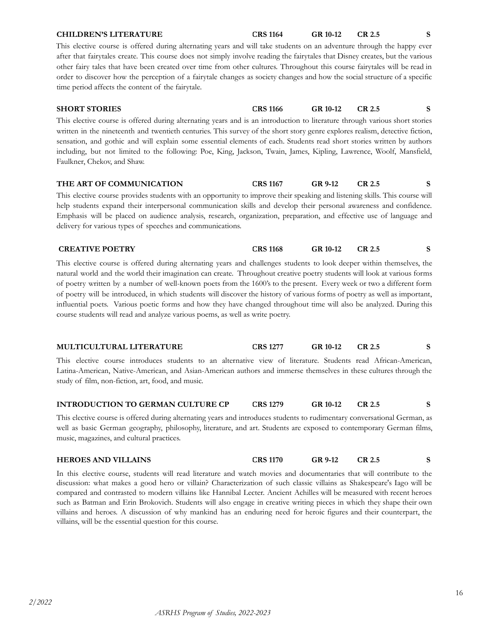| order to discover how the perception of a fairytale changes as society changes and how the social structure of a specific<br>time period affects the content of the fairytale.                                                                                                                                                                                                                                                                                                                                                                                                                                                                                                                                    |                 |          |               |              |
|-------------------------------------------------------------------------------------------------------------------------------------------------------------------------------------------------------------------------------------------------------------------------------------------------------------------------------------------------------------------------------------------------------------------------------------------------------------------------------------------------------------------------------------------------------------------------------------------------------------------------------------------------------------------------------------------------------------------|-----------------|----------|---------------|--------------|
| <b>SHORT STORIES</b>                                                                                                                                                                                                                                                                                                                                                                                                                                                                                                                                                                                                                                                                                              | <b>CRS 1166</b> | GR 10-12 | CR 2.5        | S.           |
| This elective course is offered during alternating years and is an introduction to literature through various short stories<br>written in the nineteenth and twentieth centuries. This survey of the short story genre explores realism, detective fiction,<br>sensation, and gothic and will explain some essential elements of each. Students read short stories written by authors<br>including, but not limited to the following: Poe, King, Jackson, Twain, James, Kipling, Lawrence, Woolf, Mansfield,<br>Faulkner, Chekov, and Shaw.                                                                                                                                                                       |                 |          |               |              |
| THE ART OF COMMUNICATION                                                                                                                                                                                                                                                                                                                                                                                                                                                                                                                                                                                                                                                                                          | <b>CRS 1167</b> | GR 9-12  | CR 2.5        | <sub>S</sub> |
| This elective course provides students with an opportunity to improve their speaking and listening skills. This course will<br>help students expand their interpersonal communication skills and develop their personal awareness and confidence.<br>Emphasis will be placed on audience analysis, research, organization, preparation, and effective use of language and<br>delivery for various types of speeches and communications.                                                                                                                                                                                                                                                                           |                 |          |               |              |
| <b>CREATIVE POETRY</b>                                                                                                                                                                                                                                                                                                                                                                                                                                                                                                                                                                                                                                                                                            | <b>CRS 1168</b> | GR 10-12 | <b>CR 2.5</b> | <sub>S</sub> |
| This elective course is offered during alternating years and challenges students to look deeper within themselves, the<br>natural world and the world their imagination can create. Throughout creative poetry students will look at various forms<br>of poetry written by a number of well-known poets from the 1600's to the present. Every week or two a different form<br>of poetry will be introduced, in which students will discover the history of various forms of poetry as well as important,<br>influential poets. Various poetic forms and how they have changed throughout time will also be analyzed. During this<br>course students will read and analyze various poems, as well as write poetry. |                 |          |               |              |

This elective course is offered during alternating years and will take students on an adventure through the happy ever after that fairytales create. This course does not simply involve reading the fairytales that Disney creates, but the various other fairy tales that have been created over time from other cultures. Throughout this course fairytales will be read in

### **MULTICULTURAL LITERATURE CRS 1277 GR 10-12 CR 2.5 S**

This elective course introduces students to an alternative view of literature. Students read African-American, Latina-American, Native-American, and Asian-American authors and immerse themselves in these cultures through the study of film, non-fiction, art, food, and music.

### **INTRODUCTION TO GERMAN CULTURE CP CRS 1279 GR 10-12 CR 2.5 S**

This elective course is offered during alternating years and introduces students to rudimentary conversational German, as well as basic German geography, philosophy, literature, and art. Students are exposed to contemporary German films, music, magazines, and cultural practices.

| <b>HEROES AND VILLAINS</b> | <b>CRS 1170</b> | GR 9-12 |  |
|----------------------------|-----------------|---------|--|
|                            |                 |         |  |

In this elective course, students will read literature and watch movies and documentaries that will contribute to the discussion: what makes a good hero or villain? Characterization of such classic villains as Shakespeare's Iago will be compared and contrasted to modern villains like Hannibal Lecter. Ancient Achilles will be measured with recent heroes such as Batman and Erin Brokovich. Students will also engage in creative writing pieces in which they shape their own villains and heroes. A discussion of why mankind has an enduring need for heroic figures and their counterpart, the villains, will be the essential question for this course.

# **CHILDREN'S LITERATURE CRS 1164 GR 10-12 CR 2.5 S**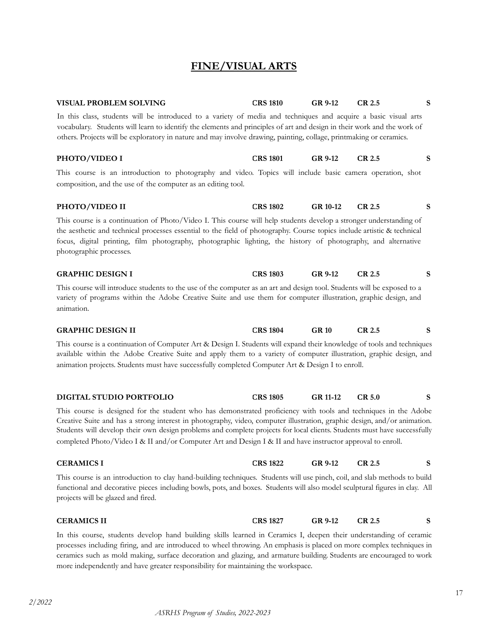**FINE/VISUAL ARTS**

<span id="page-16-0"></span>

| VISUAL PROBLEM SOLVING                                                                                                                                                                                                                                                                                                                                                                                                                                                                | <b>CRS 1810</b> | GR 9-12        | <b>CR 2.5</b> | S |
|---------------------------------------------------------------------------------------------------------------------------------------------------------------------------------------------------------------------------------------------------------------------------------------------------------------------------------------------------------------------------------------------------------------------------------------------------------------------------------------|-----------------|----------------|---------------|---|
| In this class, students will be introduced to a variety of media and techniques and acquire a basic visual arts<br>vocabulary. Students will learn to identify the elements and principles of art and design in their work and the work of<br>others. Projects will be exploratory in nature and may involve drawing, painting, collage, printmaking or ceramics.                                                                                                                     |                 |                |               |   |
| PHOTO/VIDEO I                                                                                                                                                                                                                                                                                                                                                                                                                                                                         | <b>CRS 1801</b> | <b>GR 9-12</b> | <b>CR 2.5</b> | S |
| This course is an introduction to photography and video. Topics will include basic camera operation, shot<br>composition, and the use of the computer as an editing tool.                                                                                                                                                                                                                                                                                                             |                 |                |               |   |
| PHOTO/VIDEO II                                                                                                                                                                                                                                                                                                                                                                                                                                                                        | <b>CRS 1802</b> | GR 10-12       | <b>CR 2.5</b> | S |
| This course is a continuation of Photo/Video I. This course will help students develop a stronger understanding of<br>the aesthetic and technical processes essential to the field of photography. Course topics include artistic & technical<br>focus, digital printing, film photography, photographic lighting, the history of photography, and alternative<br>photographic processes.                                                                                             |                 |                |               |   |
| <b>GRAPHIC DESIGN I</b>                                                                                                                                                                                                                                                                                                                                                                                                                                                               | <b>CRS 1803</b> | <b>GR 9-12</b> | <b>CR 2.5</b> | S |
| This course will introduce students to the use of the computer as an art and design tool. Students will be exposed to a<br>variety of programs within the Adobe Creative Suite and use them for computer illustration, graphic design, and<br>animation.                                                                                                                                                                                                                              |                 |                |               |   |
| <b>GRAPHIC DESIGN II</b>                                                                                                                                                                                                                                                                                                                                                                                                                                                              | <b>CRS 1804</b> | <b>GR 10</b>   | <b>CR 2.5</b> | S |
| This course is a continuation of Computer Art & Design I. Students will expand their knowledge of tools and techniques<br>available within the Adobe Creative Suite and apply them to a variety of computer illustration, graphic design, and<br>animation projects. Students must have successfully completed Computer Art & Design I to enroll.                                                                                                                                     |                 |                |               |   |
| DIGITAL STUDIO PORTFOLIO                                                                                                                                                                                                                                                                                                                                                                                                                                                              | <b>CRS 1805</b> | GR 11-12       | <b>CR 5.0</b> | S |
| This course is designed for the student who has demonstrated proficiency with tools and techniques in the Adobe<br>Creative Suite and has a strong interest in photography, video, computer illustration, graphic design, and/or animation.<br>Students will develop their own design problems and complete projects for local clients. Students must have successfully<br>completed Photo/Video I & II and/or Computer Art and Design I & II and have instructor approval to enroll. |                 |                |               |   |
| <b>CERAMICS I</b>                                                                                                                                                                                                                                                                                                                                                                                                                                                                     | <b>CRS 1822</b> | GR 9-12        | CR 2.5        | S |
| This course is an introduction to clay hand-building techniques. Students will use pinch, coil, and slab methods to build<br>functional and decorative pieces including bowls, pots, and boxes. Students will also model sculptural figures in clay. All<br>projects will be glazed and fired.                                                                                                                                                                                        |                 |                |               |   |
| <b>CERAMICS II</b>                                                                                                                                                                                                                                                                                                                                                                                                                                                                    | <b>CRS 1827</b> | GR 9-12        | CR 2.5        | S |

In this course, students develop hand building skills learned in Ceramics I, deepen their understanding of ceramic processes including firing, and are introduced to wheel throwing. An emphasis is placed on more complex techniques in ceramics such as mold making, surface decoration and glazing, and armature building. Students are encouraged to work more independently and have greater responsibility for maintaining the workspace.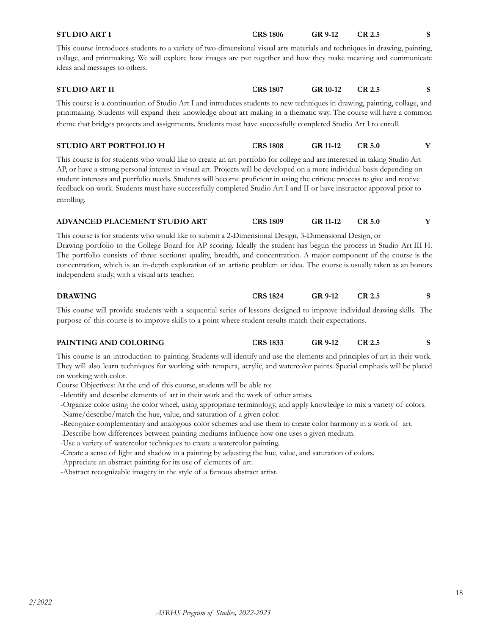| <b>STUDIO ART I</b>                                                                                                                                                                                                                                                                                                                                                                                                                                                                                                                   | <b>CRS 1806</b> | GR 9-12         | <b>CR 2.5</b> | S |
|---------------------------------------------------------------------------------------------------------------------------------------------------------------------------------------------------------------------------------------------------------------------------------------------------------------------------------------------------------------------------------------------------------------------------------------------------------------------------------------------------------------------------------------|-----------------|-----------------|---------------|---|
| This course introduces students to a variety of two-dimensional visual arts materials and techniques in drawing, painting,<br>collage, and printmaking. We will explore how images are put together and how they make meaning and communicate<br>ideas and messages to others.                                                                                                                                                                                                                                                        |                 |                 |               |   |
| <b>STUDIO ART II</b>                                                                                                                                                                                                                                                                                                                                                                                                                                                                                                                  | <b>CRS 1807</b> | GR 10-12        | <b>CR 2.5</b> | S |
| This course is a continuation of Studio Art I and introduces students to new techniques in drawing, painting, collage, and<br>printmaking. Students will expand their knowledge about art making in a thematic way. The course will have a common<br>theme that bridges projects and assignments. Students must have successfully completed Studio Art I to enroll.                                                                                                                                                                   |                 |                 |               |   |
| <b>STUDIO ART PORTFOLIO H</b>                                                                                                                                                                                                                                                                                                                                                                                                                                                                                                         | <b>CRS 1808</b> | <b>GR 11-12</b> | <b>CR 5.0</b> | Y |
| This course is for students who would like to create an art portfolio for college and are interested in taking Studio Art<br>AP, or have a strong personal interest in visual art. Projects will be developed on a more individual basis depending on<br>student interests and portfolio needs. Students will become proficient in using the critique process to give and receive<br>feedback on work. Students must have successfully completed Studio Art I and II or have instructor approval prior to<br>enrolling.               |                 |                 |               |   |
| ADVANCED PLACEMENT STUDIO ART                                                                                                                                                                                                                                                                                                                                                                                                                                                                                                         | <b>CRS 1809</b> | GR 11-12        | <b>CR 5.0</b> | Y |
| This course is for students who would like to submit a 2-Dimensional Design, 3-Dimensional Design, or<br>Drawing portfolio to the College Board for AP scoring. Ideally the student has begun the process in Studio Art III H.<br>The portfolio consists of three sections: quality, breadth, and concentration. A major component of the course is the<br>concentration, which is an in-depth exploration of an artistic problem or idea. The course is usually taken as an honors<br>independent study, with a visual arts teacher. |                 |                 |               |   |
| <b>DRAWING</b>                                                                                                                                                                                                                                                                                                                                                                                                                                                                                                                        | <b>CRS 1824</b> | GR 9-12         | <b>CR 2.5</b> | S |
| This course will provide students with a sequential series of lessons designed to improve individual drawing skills. The<br>purpose of this course is to improve skills to a point where student results match their expectations.                                                                                                                                                                                                                                                                                                    |                 |                 |               |   |
| PAINTING AND COLORING                                                                                                                                                                                                                                                                                                                                                                                                                                                                                                                 | <b>CRS 1833</b> | GR 9-12         | <b>CR 2.5</b> | S |
| This course is an introduction to painting. Students will identify and use the elements and principles of art in their work.<br>They will also learn techniques for working with tempera, acrylic, and watercolor paints. Special emphasis will be placed<br>on working with color.<br>Course Objectives: At the end of this course, students will be able to:                                                                                                                                                                        |                 |                 |               |   |

- -Identify and describe elements of art in their work and the work of other artists.
- -Organize color using the color wheel, using appropriate terminology, and apply knowledge to mix a variety of colors.
- -Name/describe/match the hue, value, and saturation of a given color.
- -Recognize complementary and analogous color schemes and use them to create color harmony in a work of art.
- -Describe how differences between painting mediums influence how one uses a given medium.
- -Use a variety of watercolor techniques to create a watercolor painting.
- -Create a sense of light and shadow in a painting by adjusting the hue, value, and saturation of colors.
- -Appreciate an abstract painting for its use of elements of art.
- -Abstract recognizable imagery in the style of a famous abstract artist.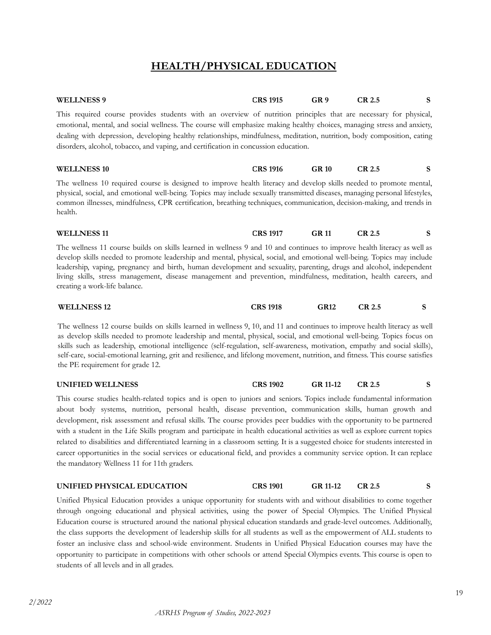# **HEALTH/PHYSICAL EDUCATION**

| <b>WELLNESS 9</b>                                                                                                                                                                                                                                                                                                                                                                                                                                                                                                                                          | <b>CRS 1915</b>     | GR <sub>9</sub>            | <b>CR 2.5</b> | S  |
|------------------------------------------------------------------------------------------------------------------------------------------------------------------------------------------------------------------------------------------------------------------------------------------------------------------------------------------------------------------------------------------------------------------------------------------------------------------------------------------------------------------------------------------------------------|---------------------|----------------------------|---------------|----|
| This required course provides students with an overview of nutrition principles that are necessary for physical,<br>emotional, mental, and social wellness. The course will emphasize making healthy choices, managing stress and anxiety,<br>dealing with depression, developing healthy relationships, mindfulness, meditation, nutrition, body composition, eating<br>disorders, alcohol, tobacco, and vaping, and certification in concussion education.                                                                                               |                     |                            |               |    |
| <b>WELLNESS 10</b>                                                                                                                                                                                                                                                                                                                                                                                                                                                                                                                                         | <b>CRS 1916</b>     | <b>GR 10</b>               | <b>CR 2.5</b> | S. |
| The wellness 10 required course is designed to improve health literacy and develop skills needed to promote mental,<br>physical, social, and emotional well-being. Topics may include sexually transmitted diseases, managing personal lifestyles,<br>common illnesses, mindfulness, CPR certification, breathing techniques, communication, decision-making, and trends in<br>health.                                                                                                                                                                     |                     |                            |               |    |
| <b>WELLNESS 11</b>                                                                                                                                                                                                                                                                                                                                                                                                                                                                                                                                         | <b>CRS 1917</b>     | <b>GR 11</b>               | <b>CR 2.5</b> | S  |
| The wellness 11 course builds on skills learned in wellness 9 and 10 and continues to improve health literacy as well as<br>develop skills needed to promote leadership and mental, physical, social, and emotional well-being. Topics may include<br>leadership, vaping, pregnancy and birth, human development and sexuality, parenting, drugs and alcohol, independent<br>living skills, stress management, disease management and prevention, mindfulness, meditation, health careers, and<br>creating a work-life balance.                            |                     |                            |               |    |
| <b>WELLNESS 12</b>                                                                                                                                                                                                                                                                                                                                                                                                                                                                                                                                         | <b>CRS 1918</b>     | <b>GR12</b>                | <b>CR 2.5</b> | S  |
| The wellness 12 course builds on skills learned in wellness 9, 10, and 11 and continues to improve health literacy as well<br>as develop skills needed to promote leadership and mental, physical, social, and emotional well-being. Topics focus on<br>skills such as leadership, emotional intelligence (self-regulation, self-awareness, motivation, empathy and social skills),<br>self-care, social-emotional learning, grit and resilience, and lifelong movement, nutrition, and fitness. This course satisfies<br>the PE requirement for grade 12. |                     |                            |               |    |
| <b>UNIFIED WELLNESS</b>                                                                                                                                                                                                                                                                                                                                                                                                                                                                                                                                    | <b>CRS 1902</b>     | <b>GR 11-12</b>            | <b>CR 2.5</b> | S  |
| $T_{\text{H}}$ .<br>$\cdots$                                                                                                                                                                                                                                                                                                                                                                                                                                                                                                                               | $\sim$ 1. $\sim$ 1. | $\pi$ , the state $\sigma$ |               |    |

This course studies health-related topics and is open to juniors and seniors. Topics include fundamental information about body systems, nutrition, personal health, disease prevention, communication skills, human growth and development, risk assessment and refusal skills. The course provides peer buddies with the opportunity to be partnered with a student in the Life Skills program and participate in health educational activities as well as explore current topics related to disabilities and differentiated learning in a classroom setting. It is a suggested choice for students interested in career opportunities in the social services or educational field, and provides a community service option. It can replace the mandatory Wellness 11 for 11th graders.

#### **UNIFIED PHYSICAL EDUCATION CRS 1901 GR 11-12 CR 2.5 S**

Unified Physical Education provides a unique opportunity for students with and without disabilities to come together through ongoing educational and physical activities, using the power of Special Olympics. The Unified Physical Education course is structured around the national physical education standards and grade-level outcomes. Additionally, the class supports the development of leadership skills for all students as well as the empowerment of ALL students to foster an inclusive class and school-wide environment. Students in Unified Physical Education courses may have the opportunity to participate in competitions with other schools or attend Special Olympics events. This course is open to students of all levels and in all grades.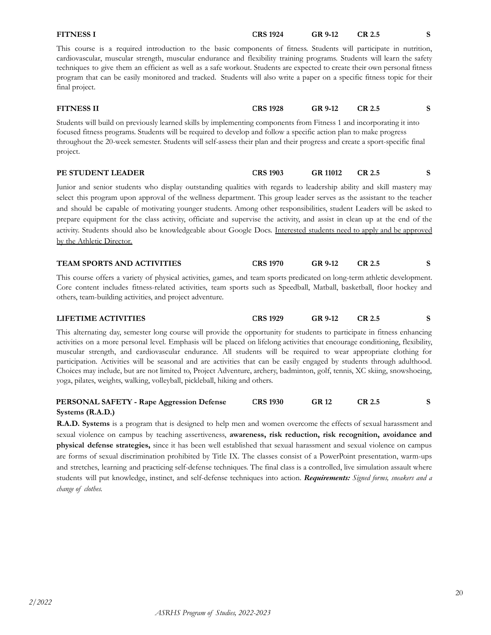| <b>FITNESS I</b>                                                                                                                                                                                                                                                                                                                                                                                                                                                                                                                                                                                                                                                                                                    | <b>CRS 1924</b> | <b>GR 9-12</b>  | CR 2.5        | S |
|---------------------------------------------------------------------------------------------------------------------------------------------------------------------------------------------------------------------------------------------------------------------------------------------------------------------------------------------------------------------------------------------------------------------------------------------------------------------------------------------------------------------------------------------------------------------------------------------------------------------------------------------------------------------------------------------------------------------|-----------------|-----------------|---------------|---|
| This course is a required introduction to the basic components of fitness. Students will participate in nutrition,<br>cardiovascular, muscular strength, muscular endurance and flexibility training programs. Students will learn the safety<br>techniques to give them an efficient as well as a safe workout. Students are expected to create their own personal fitness<br>program that can be easily monitored and tracked. Students will also write a paper on a specific fitness topic for their<br>final project.                                                                                                                                                                                           |                 |                 |               |   |
| <b>FITNESS II</b>                                                                                                                                                                                                                                                                                                                                                                                                                                                                                                                                                                                                                                                                                                   | <b>CRS 1928</b> | GR 9-12         | CR 2.5        | S |
| Students will build on previously learned skills by implementing components from Fitness 1 and incorporating it into<br>focused fitness programs. Students will be required to develop and follow a specific action plan to make progress<br>throughout the 20-week semester. Students will self-assess their plan and their progress and create a sport-specific final<br>project.                                                                                                                                                                                                                                                                                                                                 |                 |                 |               |   |
| PE STUDENT LEADER                                                                                                                                                                                                                                                                                                                                                                                                                                                                                                                                                                                                                                                                                                   | <b>CRS 1903</b> | <b>GR 11012</b> | <b>CR 2.5</b> | S |
| Junior and senior students who display outstanding qualities with regards to leadership ability and skill mastery may<br>select this program upon approval of the wellness department. This group leader serves as the assistant to the teacher<br>and should be capable of motivating younger students. Among other responsibilities, student Leaders will be asked to<br>prepare equipment for the class activity, officiate and supervise the activity, and assist in clean up at the end of the<br>activity. Students should also be knowledgeable about Google Docs. Interested students need to apply and be approved<br>by the Athletic Director.<br><b>TEAM SPORTS AND ACTIVITIES</b>                       | <b>CRS 1970</b> | GR 9-12         | CR 2.5        | S |
| This course offers a variety of physical activities, games, and team sports predicated on long-term athletic development.<br>Core content includes fitness-related activities, team sports such as Speedball, Matball, basketball, floor hockey and<br>others, team-building activities, and project adventure.                                                                                                                                                                                                                                                                                                                                                                                                     |                 |                 |               |   |
| <b>LIFETIME ACTIVITIES</b>                                                                                                                                                                                                                                                                                                                                                                                                                                                                                                                                                                                                                                                                                          | <b>CRS 1929</b> | <b>GR 9-12</b>  | CR 2.5        | S |
| This alternating day, semester long course will provide the opportunity for students to participate in fitness enhancing<br>activities on a more personal level. Emphasis will be placed on lifelong activities that encourage conditioning, flexibility,<br>muscular strength, and cardiovascular endurance. All students will be required to wear appropriate clothing for<br>participation. Activities will be seasonal and are activities that can be easily engaged by students through adulthood.<br>Choices may include, but are not limited to, Project Adventure, archery, badminton, golf, tennis, XC skiing, snowshoeing,<br>yoga, pilates, weights, walking, volleyball, pickleball, hiking and others. |                 |                 |               |   |
| PERSONAL SAFETY - Rape Aggression Defense<br>Systems (R.A.D.)                                                                                                                                                                                                                                                                                                                                                                                                                                                                                                                                                                                                                                                       | <b>CRS 1930</b> | <b>GR 12</b>    | <b>CR 2.5</b> | S |
| R.A.D. Systems is a program that is designed to help men and women overcome the effects of sexual harassment and<br>sexual violence on campus by teaching assertiveness, awareness, risk reduction, risk recognition, avoidance and                                                                                                                                                                                                                                                                                                                                                                                                                                                                                 |                 |                 |               |   |

sexual violence on campus by teaching assertiveness, **awareness, risk reduction, risk recognition, avoidance and physical defense strategies,** since it has been well established that sexual harassment and sexual violence on campus are forms of sexual discrimination prohibited by Title IX. The classes consist of a PowerPoint presentation, warm-ups and stretches, learning and practicing self-defense techniques. The final class is a controlled, live simulation assault where students will put knowledge, instinct, and self-defense techniques into action. *Requirements: Signed forms, sneakers and a change of clothes.*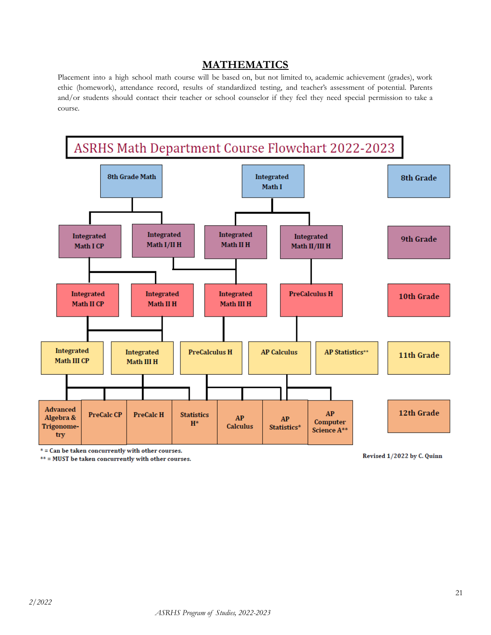# **MATHEMATICS**

<span id="page-20-0"></span>Placement into a high school math course will be based on, but not limited to, academic achievement (grades), work ethic (homework), attendance record, results of standardized testing, and teacher's assessment of potential. Parents and/or students should contact their teacher or school counselor if they feel they need special permission to take a course.



\* = Can be taken concurrently with other courses.

\*\* = MUST be taken concurrently with other courses.

Revised 1/2022 by C. Quinn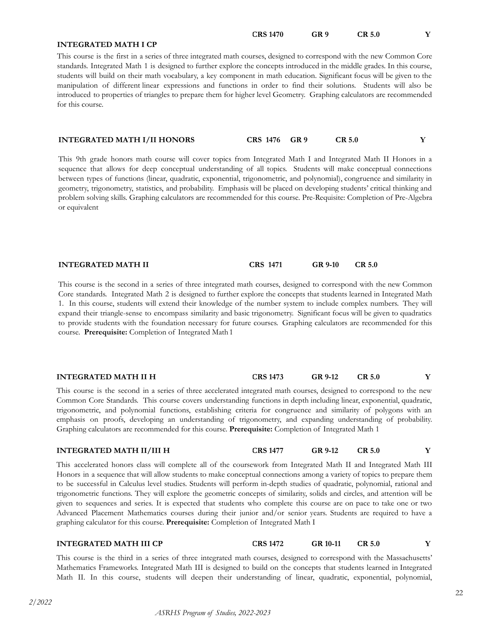**CRS 1470 GR 9 CR 5.0 Y**

#### **INTEGRATED MATH I CP**

This course is the first in a series of three integrated math courses, designed to correspond with the new Common Core standards. Integrated Math 1 is designed to further explore the concepts introduced in the middle grades. In this course, students will build on their math vocabulary, a key component in math education. Significant focus will be given to the manipulation of different linear expressions and functions in order to find their solutions. Students will also be introduced to properties of triangles to prepare them for higher level Geometry. Graphing calculators are recommended for this course.

| <b>INTEGRATED MATH I/II HONORS</b> | CRS 1476 GR 9 | <b>CR 5.0</b> |  |
|------------------------------------|---------------|---------------|--|
|------------------------------------|---------------|---------------|--|

This 9th grade honors math course will cover topics from Integrated Math I and Integrated Math II Honors in a sequence that allows for deep conceptual understanding of all topics. Students will make conceptual connections between types of functions (linear, quadratic, exponential, trigonometric, and polynomial), congruence and similarity in geometry, trigonometry, statistics, and probability. Emphasis will be placed on developing students' critical thinking and problem solving skills. Graphing calculators are recommended for this course. Pre-Requisite: Completion of Pre-Algebra or equivalent

#### **INTEGRATED MATH II CRS 1471 GR 9-10 CR 5.0**

This course is the second in a series of three integrated math courses, designed to correspond with the new Common Core standards. Integrated Math 2 is designed to further explore the concepts that students learned in Integrated Math 1. In this course, students will extend their knowledge of the number system to include complex numbers. They will expand their triangle-sense to encompass similarity and basic trigonometry. Significant focus will be given to quadratics to provide students with the foundation necessary for future courses. Graphing calculators are recommended for this course. **Prerequisite:** Completion of Integrated Math1

#### **INTEGRATED MATH II H CRS 1473 GR 9-12 CR 5.0 Y**

This course is the second in a series of three accelerated integrated math courses, designed to correspond to the new Common Core Standards. This course covers understanding functions in depth including linear, exponential, quadratic, trigonometric, and polynomial functions, establishing criteria for congruence and similarity of polygons with an emphasis on proofs, developing an understanding of trigonometry, and expanding understanding of probability. Graphing calculators are recommended for this course. **Prerequisite:** Completion of Integrated Math 1

#### **INTEGRATED MATH II/III H CRS 1477 GR 9-12 CR 5.0 Y**

This accelerated honors class will complete all of the coursework from Integrated Math II and Integrated Math III Honors in a sequence that will allow students to make conceptual connections among a variety of topics to prepare them to be successful in Calculus level studies. Students will perform in-depth studies of quadratic, polynomial, rational and trigonometric functions. They will explore the geometric concepts of similarity, solids and circles, and attention will be given to sequences and series. It is expected that students who complete this course are on pace to take one or two Advanced Placement Mathematics courses during their junior and/or senior years. Students are required to have a graphing calculator for this course. **Prerequisite:** Completion of Integrated Math I

#### **INTEGRATED MATH III CP CRS 1472 GR 10-11 CR 5.0 Y**

This course is the third in a series of three integrated math courses, designed to correspond with the Massachusetts' Mathematics Frameworks. Integrated Math III is designed to build on the concepts that students learned in Integrated Math II. In this course, students will deepen their understanding of linear, quadratic, exponential, polynomial,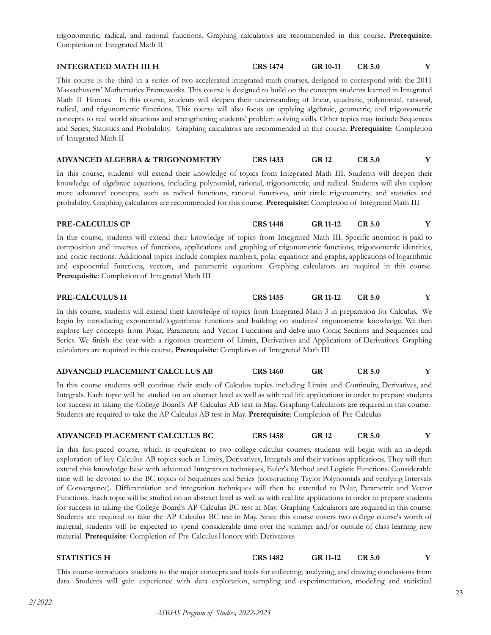trigonometric, radical, and rational functions. Graphing calculators are recommended in this course. **Prerequisite**: Completion of Integrated Math II

#### **INTEGRATED MATH III H CRS 1474 GR 10-11 CR 5.0 Y**

This course is the third in a series of two accelerated integrated math courses, designed to correspond with the 2011 Massachusetts' Mathematics Frameworks. This course is designed to build on the concepts students learned in Integrated Math II Honors. In this course, students will deepen their understanding of linear, quadratic, polynomial, rational, radical, and trigonometric functions. This course will also focus on applying algebraic, geometric, and trigonometric concepts to real world situations and strengthening students' problem solving skills. Other topics may include Sequences and Series, Statistics and Probability. Graphing calculators are recommended in this course. **Prerequisite**: Completion of Integrated Math II

#### **ADVANCED ALGEBRA & TRIGONOMETRY CRS 1433 GR 12 CR 5.0 Y**

In this course, students will extend their knowledge of topics from Integrated Math III. Students will deepen their knowledge of algebraic equations, including polynomial, rational, trigonometric, and radical. Students will also explore more advanced concepts, such as radical functions, rational functions, unit circle trigonometry, and statistics and probability. Graphing calculators are recommended for this course. **Prerequisite:** Completion of IntegratedMath III

#### **PRE-CALCULUS CP CRS 1448 GR 11-12 CR 5.0 Y**

In this course, students will extend their knowledge of topics from Integrated Math III. Specific attention is paid to composition and inverses of functions, applications and graphing of trigonometric functions, trigonometric identities, and conic sections. Additional topics include complex numbers, polar equations and graphs, applications of logarithmic and exponential functions, vectors, and parametric equations. Graphing calculators are required in this course. **Prerequisite**: Completion of Integrated Math III

#### **PRE-CALCULUS H CRS 1455 GR 11-12 CR 5.0 Y**

In this course, students will extend their knowledge of topics from Integrated Math 3 in preparation for Calculus. We begin by introducing exponential/logarithmic functions and building on students' trigonometric knowledge. We then explore key concepts from Polar, Parametric and Vector Functions and delve into Conic Sections and Sequences and Series. We finish the year with a rigorous treatment of Limits, Derivatives and Applications of Derivatives. Graphing calculators are required in this course. **Prerequisite**: Completion of Integrated Math III

#### **ADVANCED PLACEMENT CALCULUS AB CRS 1460 GR CR 5.0 Y**

In this course students will continue their study of Calculus topics including Limits and Continuity, Derivatives, and Integrals. Each topic will be studied on an abstract level as well as with real life applications in order to prepare students for success in taking the College Board's AP Calculus AB test in May. Graphing Calculators are required in this course. Students are required to take the AP Calculus AB test in May. **Prerequisite**: Completion of Pre-Calculus

#### **ADVANCED PLACEMENT CALCULUS BC CRS 1458 GR 12 CR 5.0 Y**

In this fast-paced course, which is equivalent to two college calculus courses, students will begin with an in-depth exploration of key Calculus AB topics such as Limits, Derivatives, Integrals and their various applications. They will then extend this knowledge base with advanced Integration techniques, Euler's Method and Logistic Functions. Considerable time will be devoted to the BC topics of Sequences and Series (constructing Taylor Polynomials and verifying Intervals of Convergence). Differentiation and integration techniques will then be extended to Polar, Parametric and Vector Functions. Each topic will be studied on an abstract level as well as with real life applications in order to prepare students for success in taking the College Board's AP Calculus BC test in May. Graphing Calculators are required in this course. Students are required to take the AP Calculus BC test in May. Since this course covers two college course's worth of material, students will be expected to spend considerable time over the summer and/or outside of class learning new material. Prerequisite: Completion of Pre-Calculus Honors with Derivatives

**STATISTICS H CRS 1482 GR 11-12 CR 5.0 Y**

This course introduces students to the major concepts and tools for collecting, analyzing, and drawing conclusions from data. Students will gain experience with data exploration, sampling and experimentation, modeling and statistical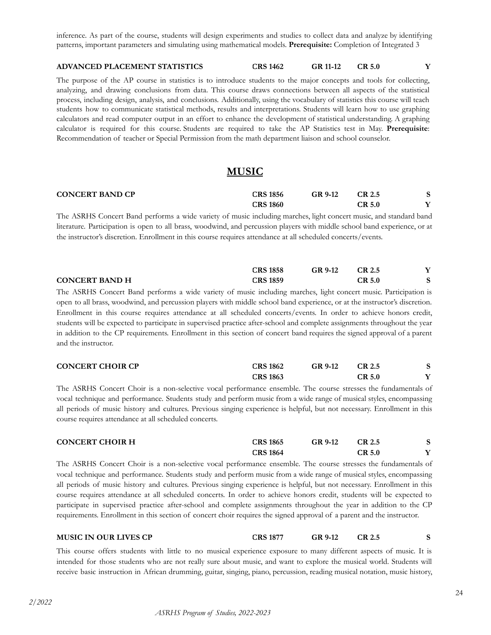inference. As part of the course, students will design experiments and studies to collect data and analyze by identifying patterns, important parameters and simulating using mathematical models. **Prerequisite:** Completion of Integrated 3

#### **ADVANCED PLACEMENT STATISTICS CRS 1462 GR 11-12 CR 5.0 Y**

The purpose of the AP course in statistics is to introduce students to the major concepts and tools for collecting, analyzing, and drawing conclusions from data. This course draws connections between all aspects of the statistical process, including design, analysis, and conclusions. Additionally, using the vocabulary of statistics this course will teach students how to communicate statistical methods, results and interpretations. Students will learn how to use graphing calculators and read computer output in an effort to enhance the development of statistical understanding. A graphing calculator is required for this course. Students are required to take the AP Statistics test in May. **Prerequisite**: Recommendation of teacher or Special Permission from the math department liaison and school counselor.

### **MUSIC**

<span id="page-23-0"></span>

| <b>CONCERT BAND CP</b> | <b>CRS 1856</b> | GR 9-12 | CR 2.5 |  |
|------------------------|-----------------|---------|--------|--|
|                        | <b>CRS 1860</b> |         | CR 5.0 |  |

The ASRHS Concert Band performs a wide variety of music including marches, light concert music, and standard band literature. Participation is open to all brass, woodwind, and percussion players with middle school band experience, or at the instructor's discretion. Enrollment in this course requires attendance at all scheduled concerts/events.

|                       | <b>CRS 1858</b> | GR 9-12 | CR 2.5 |  |
|-----------------------|-----------------|---------|--------|--|
| <b>CONCERT BAND H</b> | <b>CRS 1859</b> |         | CR 5.0 |  |

The ASRHS Concert Band performs a wide variety of music including marches, light concert music. Participation is open to all brass, woodwind, and percussion players with middle school band experience, or at the instructor's discretion. Enrollment in this course requires attendance at all scheduled concerts/events. In order to achieve honors credit, students will be expected to participate in supervised practice after-school and complete assignments throughout the year in addition to the CP requirements. Enrollment in this section of concert band requires the signed approval of a parent and the instructor.

| <b>CONCERT CHOIR CP</b> | <b>CRS 1862</b> | GR 9-12 | CR 2.5        |  |
|-------------------------|-----------------|---------|---------------|--|
|                         | <b>CRS 1863</b> |         | <b>CR 5.0</b> |  |

The ASRHS Concert Choir is a non-selective vocal performance ensemble. The course stresses the fundamentals of vocal technique and performance. Students study and perform music from a wide range of musical styles, encompassing all periods of music history and cultures. Previous singing experience is helpful, but not necessary. Enrollment in this course requires attendance at all scheduled concerts.

| <b>CONCERT CHOIR H</b> | <b>CRS 1865</b> | GR 9-12 | CR 2.5        |  |
|------------------------|-----------------|---------|---------------|--|
|                        | <b>CRS 1864</b> |         | <b>CR 5.0</b> |  |

The ASRHS Concert Choir is a non-selective vocal performance ensemble. The course stresses the fundamentals of vocal technique and performance. Students study and perform music from a wide range of musical styles, encompassing all periods of music history and cultures. Previous singing experience is helpful, but not necessary. Enrollment in this course requires attendance at all scheduled concerts. In order to achieve honors credit, students will be expected to participate in supervised practice after-school and complete assignments throughout the year in addition to the CP requirements. Enrollment in this section of concert choir requires the signed approval of a parent and the instructor.

#### **MUSIC IN OUR LIVES CP CRS 1877 GR 9-12 CR 2.5 S**

This course offers students with little to no musical experience exposure to many different aspects of music. It is intended for those students who are not really sure about music, and want to explore the musical world. Students will receive basic instruction in African drumming, guitar, singing, piano, percussion, reading musical notation, music history,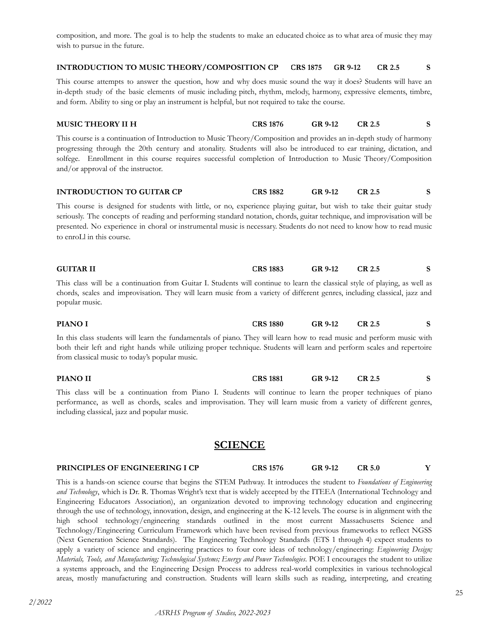composition, and more. The goal is to help the students to make an educated choice as to what area of music they may wish to pursue in the future.

#### **INTRODUCTION TO MUSIC THEORY/COMPOSITION CP CRS 1875 GR 9-12 CR 2.5 S**

This course attempts to answer the question, how and why does music sound the way it does? Students will have an in-depth study of the basic elements of music including pitch, rhythm, melody, harmony, expressive elements, timbre, and form. Ability to sing or play an instrument is helpful, but not required to take the course.

### **MUSIC THEORY II H CRS 1876 GR 9-12 CR 2.5 S**

This course is a continuation of Introduction to Music Theory/Composition and provides an in-depth study of harmony progressing through the 20th century and atonality. Students will also be introduced to ear training, dictation, and solfege. Enrollment in this course requires successful completion of Introduction to Music Theory/Composition and/or approval of the instructor.

| <b>INTRODUCTION TO GUITAR CP</b> | <b>CRS 1882</b> | GR 9-12 |  |
|----------------------------------|-----------------|---------|--|
|                                  |                 |         |  |

This course is designed for students with little, or no, experience playing guitar, but wish to take their guitar study seriously. The concepts of reading and performing standard notation, chords, guitar technique, and improvisation will be presented. No experience in choral or instrumental music is necessary. Students do not need to know how to read music to enroLl in this course.

| <b>GUITAR II</b>                                                                                                            | <b>CRS 1883</b> | GR 9-12 | CR 2.5 |  |
|-----------------------------------------------------------------------------------------------------------------------------|-----------------|---------|--------|--|
| This class will be a continuation from Guitar I. Students will continue to learn the classical style of playing, as well as |                 |         |        |  |
| chords, scales and improvisation. They will learn music from a variety of different genres, including classical, jazz and   |                 |         |        |  |
| popular music.                                                                                                              |                 |         |        |  |

**PIANO I CRS 1880 GR 9-12 CR 2.5 S** In this class students will learn the fundamentals of piano. They will learn how to read music and perform music with both their left and right hands while utilizing proper technique. Students will learn and perform scales and repertoire from classical music to today's popular music.

**PIANO II CRS 1881 GR 9-12 CR 2.5 S** This class will be a continuation from Piano I. Students will continue to learn the proper techniques of piano

performance, as well as chords, scales and improvisation. They will learn music from a variety of different genres, including classical, jazz and popular music.

# **SCIENCE**

### <span id="page-24-0"></span>**PRINCIPLES OF ENGINEERING I CP CRS 1576 GR 9-12 CR 5.0 Y**

This is a hands-on science course that begins the STEM Pathway. It introduces the student to *Foundations of Engineering and Technology*, which is Dr. R. Thomas Wright's text that is widely accepted by the ITEEA (International Technology and Engineering Educators Association), an organization devoted to improving technology education and engineering through the use of technology, innovation, design, and engineering at the K-12 levels. The course is in alignment with the high school technology/engineering standards outlined in the most current Massachusetts Science and Technology/Engineering Curriculum Framework which have been revised from previous frameworks to reflect NGSS (Next Generation Science Standards). The Engineering Technology Standards (ETS 1 through 4) expect students to apply a variety of science and engineering practices to four core ideas of technology/engineering: *Engineering Design; Materials, Tools, and Manufacturing; Technological Systems; Energy and Power Technologies*. POE I encourages the student to utilize a systems approach, and the Engineering Design Process to address real-world complexities in various technological areas, mostly manufacturing and construction. Students will learn skills such as reading, interpreting, and creating

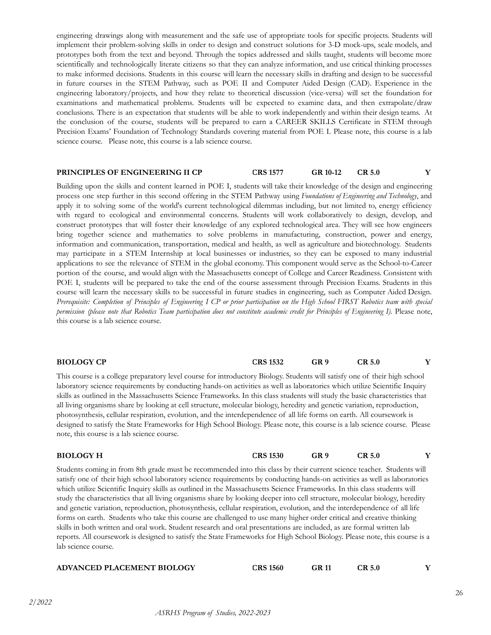engineering drawings along with measurement and the safe use of appropriate tools for specific projects. Students will implement their problem-solving skills in order to design and construct solutions for 3-D mock-ups, scale models, and prototypes both from the text and beyond. Through the topics addressed and skills taught, students will become more scientifically and technologically literate citizens so that they can analyze information, and use critical thinking processes to make informed decisions. Students in this course will learn the necessary skills in drafting and design to be successful in future courses in the STEM Pathway, such as POE II and Computer Aided Design (CAD). Experience in the engineering laboratory/projects, and how they relate to theoretical discussion (vice-versa) will set the foundation for examinations and mathematical problems. Students will be expected to examine data, and then extrapolate/draw conclusions. There is an expectation that students will be able to work independently and within their design teams. At the conclusion of the course, students will be prepared to earn a CAREER SKILLS Certificate in STEM through Precision Exams' Foundation of Technology Standards covering material from POE I. Please note, this course is a lab science course. Please note, this course is a lab science course.

#### **PRINCIPLES OF ENGINEERING II CP CRS 1577 GR 10-12 CR 5.0 Y**

Building upon the skills and content learned in POE I, students will take their knowledge of the design and engineering process one step further in this second offering in the STEM Pathway using *Foundations of Engineering and Technology*, and apply it to solving some of the world's current technological dilemmas including, but not limited to, energy efficiency with regard to ecological and environmental concerns. Students will work collaboratively to design, develop, and construct prototypes that will foster their knowledge of any explored technological area. They will see how engineers bring together science and mathematics to solve problems in manufacturing, construction, power and energy, information and communication, transportation, medical and health, as well as agriculture and biotechnology. Students may participate in a STEM Internship at local businesses or industries, so they can be exposed to many industrial applications to see the relevance of STEM in the global economy. This component would serve as the School-to-Career portion of the course, and would align with the Massachusetts concept of College and Career Readiness. Consistent with POE I, students will be prepared to take the end of the course assessment through Precision Exams. Students in this course will learn the necessary skills to be successful in future studies in engineering, such as Computer Aided Design. Prerequisite: Completion of Principles of Engineering I CP or prior participation on the High School FIRST Robotics team with special permission (please note that Robotics Team participation does not constitute academic credit for Principles of Engineering I). Please note, this course is a lab science course.

| <b>BIOLOGY CP</b> | CRS 1532 | GR 9 | CR 5.0 |  |
|-------------------|----------|------|--------|--|
|-------------------|----------|------|--------|--|

This course is a college preparatory level course for introductory Biology. Students will satisfy one of their high school laboratory science requirements by conducting hands-on activities as well as laboratories which utilize Scientific Inquiry skills as outlined in the Massachusetts Science Frameworks. In this class students will study the basic characteristics that all living organisms share by looking at cell structure, molecular biology, heredity and genetic variation, reproduction, photosynthesis, cellular respiration, evolution, and the interdependence of all life forms on earth. All coursework is designed to satisfy the State Frameworks for High School Biology. Please note, this course is a lab science course. Please note, this course is a lab science course.

| <b>BIOLOGY H</b>                                                                                                             | <b>CRS 1530</b> | GR <sub>9</sub> | CR <sub>5.0</sub> |  |
|------------------------------------------------------------------------------------------------------------------------------|-----------------|-----------------|-------------------|--|
| Students coming in from 8th grade must be recommended into this class by their current science teacher. Students will        |                 |                 |                   |  |
| satisfy one of their high school laboratory science requirements by conducting hands-on activities as well as laboratories   |                 |                 |                   |  |
| which utilize Scientific Inquiry skills as outlined in the Massachusetts Science Frameworks. In this class students will     |                 |                 |                   |  |
| study the characteristics that all living organisms share by looking deeper into cell structure, molecular biology, heredity |                 |                 |                   |  |
| and genetic variation, reproduction, photosynthesis, cellular respiration, evolution, and the interdependence of all life    |                 |                 |                   |  |
| forms on earth. Students who take this course are challenged to use many higher order critical and creative thinking         |                 |                 |                   |  |
| skills in both written and oral work. Student research and oral presentations are included, as are formal written lab        |                 |                 |                   |  |
| reports. All coursework is designed to satisfy the State Frameworks for High School Biology. Please note, this course is a   |                 |                 |                   |  |
| lab science course.                                                                                                          |                 |                 |                   |  |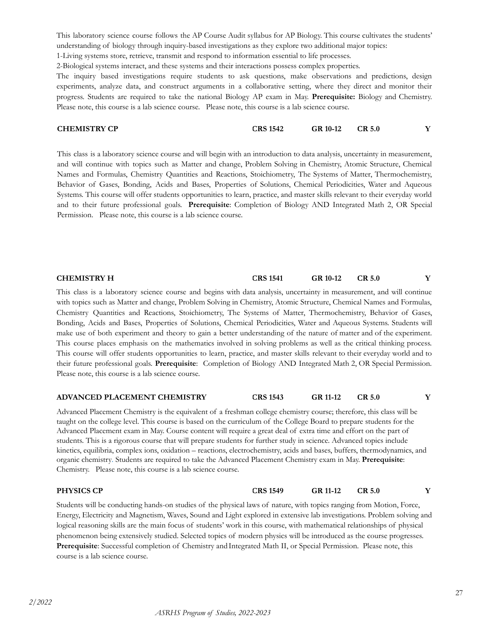This laboratory science course follows the AP Course Audit syllabus for AP Biology. This course cultivates the students' understanding of biology through inquiry-based investigations as they explore two additional major topics:

1-Living systems store, retrieve, transmit and respond to information essential to life processes.

2-Biological systems interact, and these systems and their interactions possess complex properties.

The inquiry based investigations require students to ask questions, make observations and predictions, design experiments, analyze data, and construct arguments in a collaborative setting, where they direct and monitor their progress. Students are required to take the national Biology AP exam in May. **Prerequisite:** Biology and Chemistry. Please note, this course is a lab science course. Please note, this course is a lab science course.

| <b>CHEMISTRY CP</b> | <b>CRS 1542</b> | GR 10-12 | <b>CR 5.0</b> |  |
|---------------------|-----------------|----------|---------------|--|
|                     |                 |          |               |  |

This class is a laboratory science course and will begin with an introduction to data analysis, uncertainty in measurement, and will continue with topics such as Matter and change, Problem Solving in Chemistry, Atomic Structure, Chemical Names and Formulas, Chemistry Quantities and Reactions, Stoichiometry, The Systems of Matter, Thermochemistry, Behavior of Gases, Bonding, Acids and Bases, Properties of Solutions, Chemical Periodicities, Water and Aqueous Systems. This course will offer students opportunities to learn, practice, and master skills relevant to their everyday world and to their future professional goals. **Prerequisite**: Completion of Biology AND Integrated Math 2, OR Special Permission. Please note, this course is a lab science course.

|  | <b>CHEMISTRY H</b> | CRS 1541 | GR 10-12 | CR 5.0 |  |
|--|--------------------|----------|----------|--------|--|
|--|--------------------|----------|----------|--------|--|

This class is a laboratory science course and begins with data analysis, uncertainty in measurement, and will continue with topics such as Matter and change, Problem Solving in Chemistry, Atomic Structure, Chemical Names and Formulas, Chemistry Quantities and Reactions, Stoichiometry, The Systems of Matter, Thermochemistry, Behavior of Gases, Bonding, Acids and Bases, Properties of Solutions, Chemical Periodicities, Water and Aqueous Systems. Students will make use of both experiment and theory to gain a better understanding of the nature of matter and of the experiment. This course places emphasis on the mathematics involved in solving problems as well as the critical thinking process. This course will offer students opportunities to learn, practice, and master skills relevant to their everyday world and to their future professional goals. **Prerequisite**: Completion of Biology AND Integrated Math 2, OR Special Permission. Please note, this course is a lab science course.

#### **ADVANCED PLACEMENT CHEMISTRY CRS 1543 GR 11-12 CR 5.0 Y**

Advanced Placement Chemistry is the equivalent of a freshman college chemistry course; therefore, this class will be taught on the college level. This course is based on the curriculum of the College Board to prepare students for the Advanced Placement exam in May. Course content will require a great deal of extra time and effort on the part of students. This is a rigorous course that will prepare students for further study in science. Advanced topics include kinetics, equilibria, complex ions, oxidation – reactions, electrochemistry, acids and bases, buffers, thermodynamics, and organic chemistry. Students are required to take the Advanced Placement Chemistry exam in May. **Prerequisite**: Chemistry. Please note, this course is a lab science course.

**PHYSICS CP CRS 1549 GR 11-12 CR 5.0 Y**

Students will be conducting hands-on studies of the physical laws of nature, with topics ranging from Motion, Force, Energy, Electricity and Magnetism, Waves, Sound and Light explored in extensive lab investigations. Problem solving and logical reasoning skills are the main focus of students' work in this course, with mathematical relationships of physical phenomenon being extensively studied. Selected topics of modern physics will be introduced as the course progresses. Prerequisite: Successful completion of Chemistry and Integrated Math II, or Special Permission. Please note, this course is a lab science course.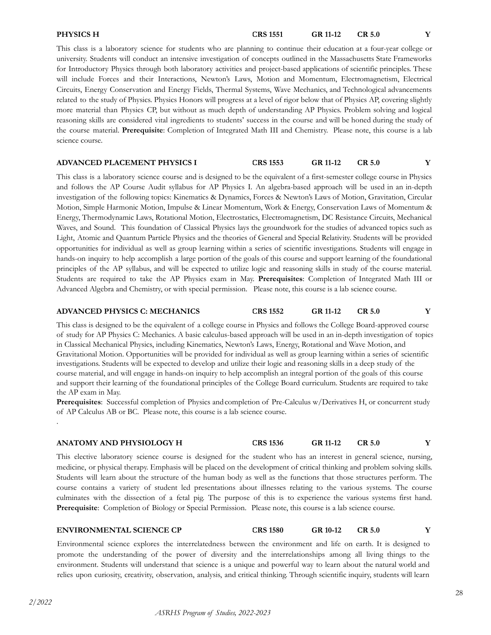### This class is a laboratory science for students who are planning to continue their education at a four-year college or university. Students will conduct an intensive investigation of concepts outlined in the Massachusetts State Frameworks for Introductory Physics through both laboratory activities and project-based applications of scientific principles. These will include Forces and their Interactions, Newton's Laws, Motion and Momentum, Electromagnetism, Electrical Circuits, Energy Conservation and Energy Fields, Thermal Systems, Wave Mechanics, and Technological advancements related to the study of Physics. Physics Honors will progress at a level of rigor below that of Physics AP, covering slightly more material than Physics CP, but without as much depth of understanding AP Physics. Problem solving and logical reasoning skills are considered vital ingredients to students' success in the course and will be honed during the study of the course material. **Prerequisite**: Completion of Integrated Math III and Chemistry. Please note, this course is a lab science course.

# **ADVANCED PLACEMENT PHYSICS I CRS 1553 GR 11-12 CR 5.0 Y**

This class is a laboratory science course and is designed to be the equivalent of a first-semester college course in Physics and follows the AP Course Audit syllabus for AP Physics I. An algebra-based approach will be used in an in-depth investigation of the following topics: Kinematics & Dynamics, Forces & Newton's Laws of Motion, Gravitation, Circular Motion, Simple Harmonic Motion, Impulse & Linear Momentum, Work & Energy, Conservation Laws of Momentum & Energy, Thermodynamic Laws, Rotational Motion, Electrostatics, Electromagnetism, DC Resistance Circuits, Mechanical Waves, and Sound. This foundation of Classical Physics lays the groundwork for the studies of advanced topics such as Light, Atomic and Quantum Particle Physics and the theories of General and Special Relativity. Students will be provided opportunities for individual as well as group learning within a series of scientific investigations. Students will engage in hands-on inquiry to help accomplish a large portion of the goals of this course and support learning of the foundational principles of the AP syllabus, and will be expected to utilize logic and reasoning skills in study of the course material. Students are required to take the AP Physics exam in May. **Prerequisites**: Completion of Integrated Math III or Advanced Algebra and Chemistry, or with special permission. Please note, this course is a lab science course.

# **ADVANCED PHYSICS C: MECHANICS CRS 1552 GR 11-12 CR 5.0 Y**

This class is designed to be the equivalent of a college course in Physics and follows the College Board-approved course of study for AP Physics C: Mechanics. A basic calculus-based approach will be used in an in-depth investigation of topics in Classical Mechanical Physics, including Kinematics, Newton's Laws, Energy, Rotational and Wave Motion, and Gravitational Motion. Opportunities will be provided for individual as well as group learning within a series of scientific investigations. Students will be expected to develop and utilize their logic and reasoning skills in a deep study of the course material, and will engage in hands-on inquiry to help accomplish an integral portion of the goals of this course and support their learning of the foundational principles of the College Board curriculum. Students are required to take the AP exam in May.

**Prerequisites**: Successful completion of Physics andcompletion of Pre-Calculus w/Derivatives H, or concurrent study of AP Calculus AB or BC. Please note, this course is a lab science course. .

### **ANATOMY AND PHYSIOLOGY H CRS 1536 GR 11-12 CR 5.0 Y**

This elective laboratory science course is designed for the student who has an interest in general science, nursing, medicine, or physical therapy. Emphasis will be placed on the development of critical thinking and problem solving skills. Students will learn about the structure of the human body as well as the functions that those structures perform. The course contains a variety of student led presentations about illnesses relating to the various systems. The course culminates with the dissection of a fetal pig. The purpose of this is to experience the various systems first hand. **Prerequisite**: Completion of Biology or Special Permission. Please note, this course is a lab science course.

# **ENVIRONMENTAL SCIENCE CP CRS 1580 GR 10-12 CR 5.0 Y**

Environmental science explores the interrelatedness between the environment and life on earth. It is designed to promote the understanding of the power of diversity and the interrelationships among all living things to the environment. Students will understand that science is a unique and powerful way to learn about the natural world and relies upon curiosity, creativity, observation, analysis, and critical thinking. Through scientific inquiry, students will learn

# **PHYSICS H CRS 1551 GR 11-12 CR 5.0 Y**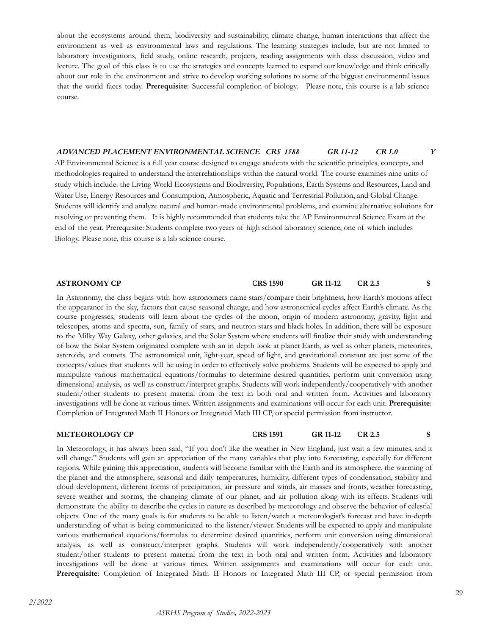about the ecosystems around them, biodiversity and sustainability, climate change, human interactions that affect the environment as well as environmental laws and regulations. The learning strategies include, but are not limited to laboratory investigations, field study, online research, projects, reading assignments with class discussion, video and lecture. The goal of this class is to use the strategies and concepts learned to expand our knowledge and think critically about our role in the environment and strive to develop working solutions to some of the biggest environmental issues that the world faces today. **Prerequisite**: Successful completion of biology. Please note, this course is a lab science course.

#### *ADVANCED PLACEMENT ENVIRONMENTAL SCIENCE CRS 1588 GR 11-12 CR 5.0 Y*

AP Environmental Science is a full year course designed to engage students with the scientific principles, concepts, and methodologies required to understand the interrelationships within the natural world. The course examines nine units of study which include: the Living World Ecosystems and Biodiversity, Populations, Earth Systems and Resources, Land and Water Use, Energy Resources and Consumption, Atmospheric, Aquatic and Terrestrial Pollution, and Global Change. Students will identify and analyze natural and human-made environmental problems, and examine alternative solutions for resolving or preventing them. It is highly recommended that students take the AP Environmental Science Exam at the end of the year. Prerequisite: Students complete two years of high school laboratory science, one of which includes Biology. Please note, this course is a lab science course.

**ASTRONOMY CP CRS 1590 GR 11-12 CR 2.5 S**

In Astronomy, the class begins with how astronomers name stars/compare their brightness, how Earth's motions affect the appearance in the sky, factors that cause seasonal change, and how astronomical cycles affect Earth's climate. As the course progresses, students will learn about the cycles of the moon, origin of modern astronomy, gravity, light and telescopes, atoms and spectra, sun, family of stars, and neutron stars and black holes. In addition, there will be exposure to the Milky Way Galaxy, other galaxies, and the Solar System where students will finalize their study with understanding of how the Solar System originated complete with an in depth look at planet Earth, as well as other planets, meteorites, asteroids, and comets. The astronomical unit, light-year, speed of light, and gravitational constant are just some of the concepts/values that students will be using in order to effectively solve problems. Students will be expected to apply and manipulate various mathematical equations/formulas to determine desired quantities, perform unit conversion using dimensional analysis, as well as construct/interpret graphs. Students will work independently/cooperatively with another student/other students to present material from the text in both oral and written form. Activities and laboratory investigations will be done at various times. Written assignments and examinations will occur for each unit. **Prerequisite**: Completion of Integrated Math II Honors or Integrated Math III CP, or special permission from instructor.

**METEOROLOGY CP CRS 1591 GR 11-12 CR 2.5 S**

In Meteorology, it has always been said, "If you don't like the weather in New England, just wait a few minutes, and it will change." Students will gain an appreciation of the many variables that play into forecasting, especially for different regions. While gaining this appreciation, students will become familiar with the Earth and its atmosphere, the warming of the planet and the atmosphere, seasonal and daily temperatures, humidity, different types of condensation, stability and cloud development, different forms of precipitation, air pressure and winds, air masses and fronts, weather forecasting, severe weather and storms, the changing climate of our planet, and air pollution along with its effects. Students will demonstrate the ability to describe the cycles in nature as described by meteorology and observe the behavior of celestial objects. One of the many goals is for students to be able to listen/watch a meteorologist's forecast and have in-depth understanding of what is being communicated to the listener/viewer. Students will be expected to apply and manipulate various mathematical equations/formulas to determine desired quantities, perform unit conversion using dimensional analysis, as well as construct/interpret graphs. Students will work independently/cooperatively with another student/other students to present material from the text in both oral and written form. Activities and laboratory investigations will be done at various times. Written assignments and examinations will occur for each unit. **Prerequisite**: Completion of Integrated Math II Honors or Integrated Math III CP, or special permission from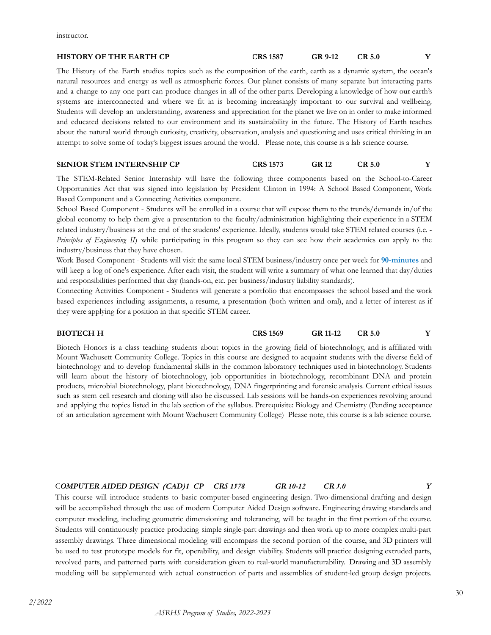instructor.

#### **HISTORY OF THE EARTH CP CRS 1587 GR 9-12 CR 5.0 Y**

The History of the Earth studies topics such as the composition of the earth, earth as a dynamic system, the ocean's natural resources and energy as well as atmospheric forces. Our planet consists of many separate but interacting parts and a change to any one part can produce changes in all of the other parts. Developing a knowledge of how our earth's systems are interconnected and where we fit in is becoming increasingly important to our survival and wellbeing. Students will develop an understanding, awareness and appreciation for the planet we live on in order to make informed and educated decisions related to our environment and its sustainability in the future. The History of Earth teaches about the natural world through curiosity, creativity, observation, analysis and questioning and uses critical thinking in an attempt to solve some of today's biggest issues around the world. Please note, this course is a lab science course.

#### **SENIOR STEM INTERNSHIP CP CRS 1573 GR 12 CR 5.0 Y**

The STEM-Related Senior Internship will have the following three components based on the School-to-Career Opportunities Act that was signed into legislation by President Clinton in 1994: A School Based Component, Work Based Component and a Connecting Activities component.

School Based Component - Students will be enrolled in a course that will expose them to the trends/demands in/of the global economy to help them give a presentation to the faculty/administration highlighting their experience in a STEM related industry/business at the end of the students' experience. Ideally, students would take STEM related courses (i.e. - *Principles of Engineering II*) while participating in this program so they can see how their academics can apply to the industry/business that they have chosen.

Work Based Component - Students will visit the same local STEM business/industry once per week for **90-minutes** and will keep a log of one's experience. After each visit, the student will write a summary of what one learned that day/duties and responsibilities performed that day (hands-on, etc. per business/industry liability standards).

Connecting Activities Component - Students will generate a portfolio that encompasses the school based and the work based experiences including assignments, a resume, a presentation (both written and oral), and a letter of interest as if they were applying for a position in that specific STEM career.

#### **BIOTECH H CRS 1569 GR 11-12 CR 5.0 Y**

#### Biotech Honors is a class teaching students about topics in the growing field of biotechnology, and is affiliated with Mount Wachusett Community College. Topics in this course are designed to acquaint students with the diverse field of biotechnology and to develop fundamental skills in the common laboratory techniques used in biotechnology. Students will learn about the history of biotechnology, job opportunities in biotechnology, recombinant DNA and protein products, microbial biotechnology, plant biotechnology, DNA fingerprinting and forensic analysis. Current ethical issues such as stem cell research and cloning will also be discussed. Lab sessions will be hands-on experiences revolving around and applying the topics listed in the lab section of the syllabus. Prerequisite: Biology and Chemistry (Pending acceptance of an articulation agreement with Mount Wachusett Community College) Please note, this course is a lab science course.

#### C*OMPUTER AIDED DESIGN (CAD)1 CP CRS 1578 GR 10-12 CR 5.0 Y*

This course will introduce students to basic computer-based engineering design. Two-dimensional drafting and design will be accomplished through the use of modern Computer Aided Design software. Engineering drawing standards and computer modeling, including geometric dimensioning and tolerancing, will be taught in the first portion of the course. Students will continuously practice producing simple single-part drawings and then work up to more complex multi-part assembly drawings. Three dimensional modeling will encompass the second portion of the course, and 3D printers will be used to test prototype models for fit, operability, and design viability. Students will practice designing extruded parts, revolved parts, and patterned parts with consideration given to real-world manufacturability. Drawing and 3D assembly modeling will be supplemented with actual construction of parts and assemblies of student-led group design projects.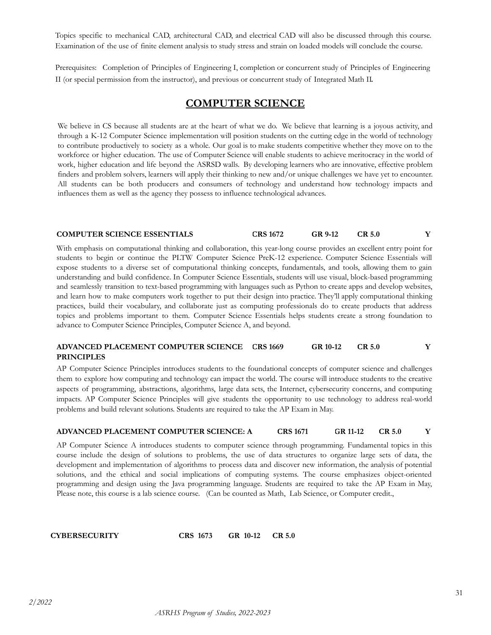Topics specific to mechanical CAD, architectural CAD, and electrical CAD will also be discussed through this course. Examination of the use of finite element analysis to study stress and strain on loaded models will conclude the course.

Prerequisites: Completion of Principles of Engineering I, completion or concurrent study of Principles of Engineering II (or special permission from the instructor), and previous or concurrent study of Integrated Math II.

# **COMPUTER SCIENCE**

<span id="page-30-0"></span>We believe in CS because all students are at the heart of what we do. We believe that learning is a joyous activity, and through a K-12 Computer Science implementation will position students on the cutting edge in the world of technology to contribute productively to society as a whole. Our goal is to make students competitive whether they move on to the workforce or higher education. The use of Computer Science will enable students to achieve meritocracy in the world of work, higher education and life beyond the ASRSD walls. By developing learners who are innovative, effective problem finders and problem solvers, learners will apply their thinking to new and/or unique challenges we have yet to encounter. All students can be both producers and consumers of technology and understand how technology impacts and influences them as well as the agency they possess to influence technological advances.

#### **COMPUTER SCIENCE ESSENTIALS CRS 1672 GR 9-12 CR 5.0 Y**

With emphasis on computational thinking and collaboration, this year-long course provides an excellent entry point for students to begin or continue the PLTW Computer Science PreK-12 experience. Computer Science Essentials will expose students to a diverse set of computational thinking concepts, fundamentals, and tools, allowing them to gain understanding and build confidence. In Computer Science Essentials, students will use visual, block-based programming and seamlessly transition to text-based programming with languages such as Python to create apps and develop websites, and learn how to make computers work together to put their design into practice. They'll apply computational thinking practices, build their vocabulary, and collaborate just as computing professionals do to create products that address topics and problems important to them. Computer Science Essentials helps students create a strong foundation to advance to Computer Science Principles, Computer Science A, and beyond.

#### **ADVANCED PLACEMENT COMPUTER SCIENCE CRS 1669 GR 10-12 CR 5.0 Y PRINCIPLES**

AP Computer Science Principles introduces students to the foundational concepts of computer science and challenges them to explore how computing and technology can impact the world. The course will introduce students to the creative aspects of programming, abstractions, algorithms, large data sets, the Internet, cybersecurity concerns, and computing impacts. AP Computer Science Principles will give students the opportunity to use technology to address real-world problems and build relevant solutions. Students are required to take the AP Exam in May.

#### **ADVANCED PLACEMENT COMPUTER SCIENCE: A CRS 1671 GR 11-12 CR 5.0 Y**

AP Computer Science A introduces students to computer science through programming. Fundamental topics in this course include the design of solutions to problems, the use of data structures to organize large sets of data, the development and implementation of algorithms to process data and discover new information, the analysis of potential solutions, and the ethical and social implications of computing systems. The course emphasizes object-oriented programming and design using the Java programming language. Students are required to take the AP Exam in May, Please note, this course is a lab science course. (Can be counted as Math, Lab Science, or Computer credit.,

**CYBERSECURITY CRS 1673 GR 10-12 CR 5.0**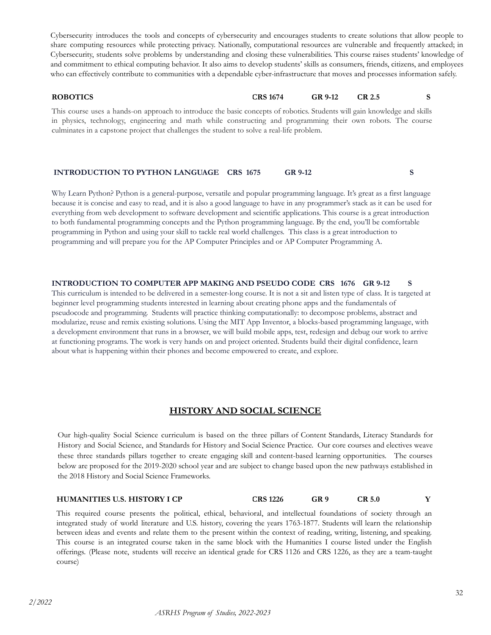Cybersecurity introduces the tools and concepts of cybersecurity and encourages students to create solutions that allow people to share computing resources while protecting privacy. Nationally, computational resources are vulnerable and frequently attacked; in Cybersecurity, students solve problems by understanding and closing these vulnerabilities. This course raises students' knowledge of and commitment to ethical computing behavior. It also aims to develop students' skills as consumers, friends, citizens, and employees who can effectively contribute to communities with a dependable cyber-infrastructure that moves and processes information safely.

**ROBOTICS CRS 1674 GR 9-12 CR 2.5 S**

This course uses a hands-on approach to introduce the basic concepts of robotics. Students will gain knowledge and skills in physics, technology, engineering and math while constructing and programming their own robots. The course culminates in a capstone project that challenges the student to solve a real-life problem.

#### **INTRODUCTION TO PYTHON LANGUAGE CRS 1675 GR 9-12 S**

Why Learn Python? Python is a general-purpose, versatile and popular programming language. It's great as a first language because it is concise and easy to read, and it is also a good language to have in any programmer's stack as it can be used for everything from web development to software development and scientific applications. This course is a great introduction to both fundamental programming concepts and the Python programming language. By the end, you'll be comfortable programming in Python and using your skill to tackle real world challenges. This class is a great introduction to programming and will prepare you for the AP Computer Principles and or AP Computer Programming A.

**INTRODUCTION TO COMPUTER APP MAKING AND PSEUDO CODE CRS 1676 GR 9-12 S** This curriculum is intended to be delivered in a semester-long course. It is not a sit and listen type of class. It is targeted at beginner level programming students interested in learning about creating phone apps and the fundamentals of pseudocode and programming. Students will practice thinking computationally: to decompose problems, abstract and modularize, reuse and remix existing solutions. Using the MIT App Inventor, a blocks-based programming language, with a development environment that runs in a browser, we will build mobile apps, test, redesign and debug our work to arrive at functioning programs. The work is very hands on and project oriented. Students build their digital confidence, learn about what is happening within their phones and become empowered to create, and explore.

### **HISTORY AND SOCIAL SCIENCE**

<span id="page-31-0"></span>Our high-quality Social Science curriculum is based on the three pillars of Content Standards, Literacy Standards for History and Social Science, and Standards for History and Social Science Practice. Our core courses and electives weave these three standards pillars together to create engaging skill and content-based learning opportunities. The courses below are proposed for the 2019-2020 school year and are subject to change based upon the new pathways established in the 2018 History and Social Science Frameworks.

### **HUMANITIES U.S. HISTORY I CP CRS 1226 GR 9 CR 5.0 Y**

This required course presents the political, ethical, behavioral, and intellectual foundations of society through an integrated study of world literature and U.S. history, covering the years 1763-1877. Students will learn the relationship between ideas and events and relate them to the present within the context of reading, writing, listening, and speaking. This course is an integrated course taken in the same block with the Humanities I course listed under the English offerings. (Please note, students will receive an identical grade for CRS 1126 and CRS 1226, as they are a team-taught course)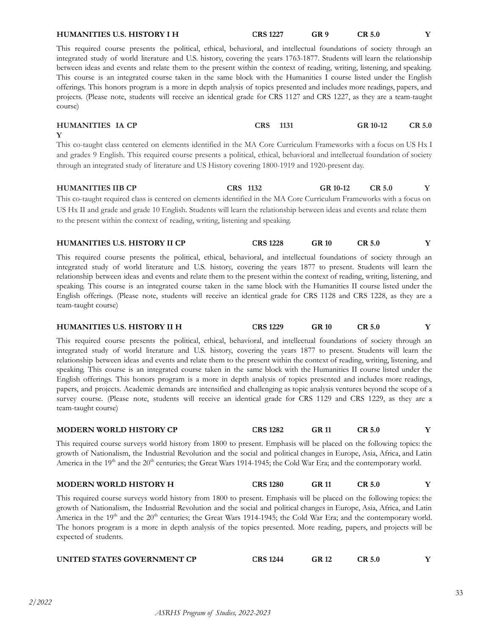between ideas and events and relate them to the present within the context of reading, writing, listening, and speaking. This course is an integrated course taken in the same block with the Humanities I course listed under the English offerings. This honors program is a more in depth analysis of topics presented and includes more readings, papers, and projects. (Please note, students will receive an identical grade for CRS 1127 and CRS 1227, as they are a team-taught course) **HUMANITIES IA CP CRS 1131 GR 10-12 CR 5.0 Y** This co-taught class centered on elements identified in the MA Core Curriculum Frameworks with a focus on US Hx I and grades 9 English. This required course presents a political, ethical, behavioral and intellectual foundation of society through an integrated study of literature and US History covering 1800-1919 and 1920-present day. **HUMANITIES IIB CP CRS 1132 GR 10-12 CR 5.0 Y** This co-taught required class is centered on elements identified in the MA Core Curriculum Frameworks with a focus on US Hx II and grade and grade 10 English. Students will learn the relationship between ideas and events and relate them to the present within the context of reading, writing, listening and speaking. **HUMANITIES U.S. HISTORY II CP CRS 1228 GR 10 CR 5.0 Y** This required course presents the political, ethical, behavioral, and intellectual foundations of society through an integrated study of world literature and U.S. history, covering the years 1877 to present. Students will learn the relationship between ideas and events and relate them to the present within the context of reading, writing, listening, and speaking. This course is an integrated course taken in the same block with the Humanities II course listed under the English offerings. (Please note, students will receive an identical grade for CRS 1128 and CRS 1228, as they are a team-taught course)

This required course presents the political, ethical, behavioral, and intellectual foundations of society through an integrated study of world literature and U.S. history, covering the years 1877 to present. Students will learn the relationship between ideas and events and relate them to the present within the context of reading, writing, listening, and speaking. This course is an integrated course taken in the same block with the Humanities II course listed under the English offerings. This honors program is a more in depth analysis of topics presented and includes more readings, papers, and projects. Academic demands are intensified and challenging as topic analysis ventures beyond the scope of a survey course. (Please note, students will receive an identical grade for CRS 1129 and CRS 1229, as they are a team-taught course)

**HUMANITIES U.S. HISTORY II H CRS 1229 GR 10 CR 5.0 Y**

**MODERN WORLD HISTORY CP CRS 1282 GR 11 CR 5.0 Y**

This required course surveys world history from 1800 to present. Emphasis will be placed on the following topics: the growth of Nationalism, the Industrial Revolution and the social and political changes in Europe, Asia, Africa, and Latin America in the 19<sup>th</sup> and the 20<sup>th</sup> centuries; the Great Wars 1914-1945; the Cold War Era; and the contemporary world.

|  | <b>MODERN WORLD HISTORY H</b> | <b>CRS 1280</b> |  |  |  |
|--|-------------------------------|-----------------|--|--|--|
|--|-------------------------------|-----------------|--|--|--|

This required course surveys world history from 1800 to present. Emphasis will be placed on the following topics: the growth of Nationalism, the Industrial Revolution and the social and political changes in Europe, Asia, Africa, and Latin America in the 19<sup>th</sup> and the 20<sup>th</sup> centuries; the Great Wars 1914-1945; the Cold War Era; and the contemporary world. The honors program is a more in depth analysis of the topics presented. More reading, papers, and projects will be expected of students.

| UNITED STATES GOVERNMENT CP | <b>CRS 1244</b> |  |  |
|-----------------------------|-----------------|--|--|
|                             |                 |  |  |

This required course presents the political, ethical, behavioral, and intellectual foundations of society through an integrated study of world literature and U.S. history, covering the years 1763-1877. Students will learn the relationship

*2/2022*

# **HUMANITIES U.S. HISTORY I H CRS 1227 GR 9 CR 5.0 Y**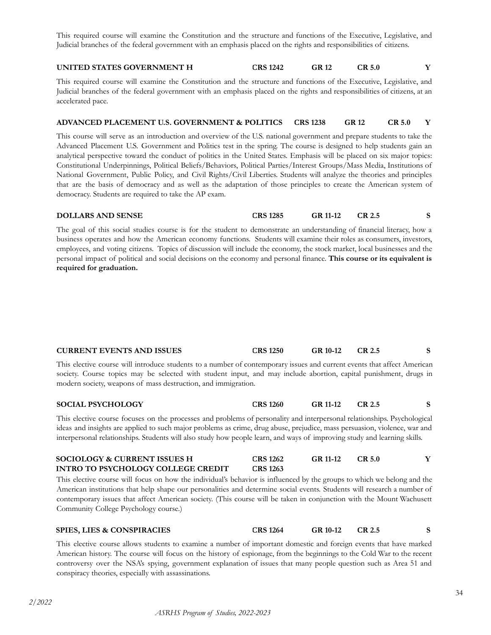This required course will examine the Constitution and the structure and functions of the Executive, Legislative, and Judicial branches of the federal government with an emphasis placed on the rights and responsibilities of citizens.

#### **UNITED STATES GOVERNMENT H CRS 1242 GR 12 CR 5.0 Y**

This required course will examine the Constitution and the structure and functions of the Executive, Legislative, and Judicial branches of the federal government with an emphasis placed on the rights and responsibilities of citizens, at an accelerated pace.

#### **ADVANCED PLACEMENT U.S. GOVERNMENT & POLITICS CRS 1238 GR 12 CR 5.0 Y**

This course will serve as an introduction and overview of the U.S. national government and prepare students to take the Advanced Placement U.S. Government and Politics test in the spring. The course is designed to help students gain an analytical perspective toward the conduct of politics in the United States. Emphasis will be placed on six major topics: Constitutional Underpinnings, Political Beliefs/Behaviors, Political Parties/Interest Groups/Mass Media, Institutions of National Government, Public Policy, and Civil Rights/Civil Liberties. Students will analyze the theories and principles that are the basis of democracy and as well as the adaptation of those principles to create the American system of democracy. Students are required to take the AP exam.

#### **DOLLARS AND SENSE CRS 1285 GR 11-12 CR 2.5 S**

The goal of this social studies course is for the student to demonstrate an understanding of financial literacy, how a business operates and how the American economy functions. Students will examine their roles as consumers, investors, employees, and voting citizens. Topics of discussion will include the economy, the stock market, local businesses and the personal impact of political and social decisions on the economy and personal finance. **This course or its equivalent is required for graduation.**

| <b>CURRENT EVENTS AND ISSUES</b>                                                                                        | <b>CRS</b> 1250 | GR 10-12 | CR 2.5 |  |
|-------------------------------------------------------------------------------------------------------------------------|-----------------|----------|--------|--|
| This elective course will introduce students to a number of contemporary issues and current events that affect American |                 |          |        |  |
| society. Course topics may be selected with student input, and may include abortion, capital punishment, drugs in       |                 |          |        |  |

#### **SOCIAL PSYCHOLOGY CRS 1260 GR 11-12 CR 2.5 S**

modern society, weapons of mass destruction, and immigration.

This elective course focuses on the processes and problems of personality and interpersonal relationships. Psychological ideas and insights are applied to such major problems as crime, drug abuse, prejudice, mass persuasion, violence, war and interpersonal relationships. Students will also study how people learn, and ways of improving study and learning skills.

#### **SOCIOLOGY & CURRENT ISSUES H INTRO TO PSYCHOLOGY COLLEGE CREDIT CRS 1262 CRS 1263 GR 11-12 CR 5.0 Y**

This elective course will focus on how the individual's behavior is influenced by the groups to which we belong and the American institutions that help shape our personalities and determine social events. Students will research a number of contemporary issues that affect American society. (This course will be taken in conjunction with the Mount Wachusett Community College Psychology course.)

### **SPIES, LIES & CONSPIRACIES CRS 1264 GR 10-12 CR 2.5 S**

This elective course allows students to examine a number of important domestic and foreign events that have marked American history. The course will focus on the history of espionage, from the beginnings to the Cold War to the recent controversy over the NSA's spying, government explanation of issues that many people question such as Area 51 and conspiracy theories, especially with assassinations.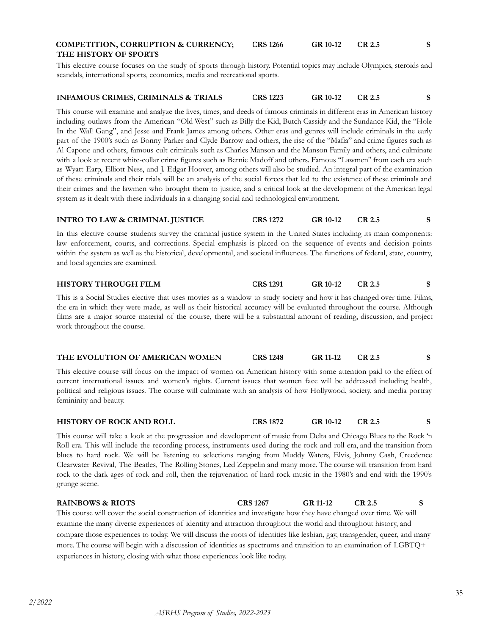#### **COMPETITION, CORRUPTION & CURRENCY; THE HISTORY OF SPORTS CRS 1266 GR 10-12 CR 2.5 S**

This elective course focuses on the study of sports through history. Potential topics may include Olympics, steroids and scandals, international sports, economics, media and recreational sports.

#### **INFAMOUS CRIMES, CRIMINALS & TRIALS CRS 1223 GR 10-12 CR 2.5 S**

This course will examine and analyze the lives, times, and deeds of famous criminals in different eras in American history including outlaws from the American "Old West" such as Billy the Kid, Butch Cassidy and the Sundance Kid, the "Hole In the Wall Gang", and Jesse and Frank James among others. Other eras and genres will include criminals in the early part of the 1900's such as Bonny Parker and Clyde Barrow and others, the rise of the "Mafia" and crime figures such as Al Capone and others, famous cult criminals such as Charles Manson and the Manson Family and others, and culminate with a look at recent white-collar crime figures such as Bernie Madoff and others. Famous "Lawmen'' from each era such as Wyatt Earp, Elliott Ness, and J. Edgar Hoover, among others will also be studied. An integral part of the examination of these criminals and their trials will be an analysis of the social forces that led to the existence of these criminals and their crimes and the lawmen who brought them to justice, and a critical look at the development of the American legal system as it dealt with these individuals in a changing social and technological environment.

#### **INTRO TO LAW & CRIMINAL JUSTICE CRS 1272 GR 10-12 CR 2.5 S**

In this elective course students survey the criminal justice system in the United States including its main components: law enforcement, courts, and corrections. Special emphasis is placed on the sequence of events and decision points within the system as well as the historical, developmental, and societal influences. The functions of federal, state, country, and local agencies are examined.

#### **HISTORY THROUGH FILM CRS 1291 GR 10-12 CR 2.5 S**

This is a Social Studies elective that uses movies as a window to study society and how it has changed over time. Films, the era in which they were made, as well as their historical accuracy will be evaluated throughout the course. Although films are a major source material of the course, there will be a substantial amount of reading, discussion, and project work throughout the course.

#### **THE EVOLUTION OF AMERICAN WOMEN CRS 1248 GR 11-12 CR 2.5 S**

This elective course will focus on the impact of women on American history with some attention paid to the effect of current international issues and women's rights. Current issues that women face will be addressed including health, political and religious issues. The course will culminate with an analysis of how Hollywood, society, and media portray femininity and beauty.

#### **HISTORY OF ROCK AND ROLL CRS 1872 GR 10-12 CR 2.5 S**

This course will take a look at the progression and development of music from Delta and Chicago Blues to the Rock 'n Roll era. This will include the recording process, instruments used during the rock and roll era, and the transition from blues to hard rock. We will be listening to selections ranging from Muddy Waters, Elvis, Johnny Cash, Creedence Clearwater Revival, The Beatles, The Rolling Stones, Led Zeppelin and many more. The course will transition from hard rock to the dark ages of rock and roll, then the rejuvenation of hard rock music in the 1980's and end with the 1990's grunge scene.

**RAINBOWS & RIOTS CRS 1267 GR 11-12 CR 2.5 S** This course will cover the social construction of identities and investigate how they have changed over time. We will examine the many diverse experiences of identity and attraction throughout the world and throughout history, and compare those experiences to today. We will discuss the roots of identities like lesbian, gay, transgender, queer, and many more. The course will begin with a discussion of identities as spectrums and transition to an examination of LGBTQ+ experiences in history, closing with what those experiences look like today.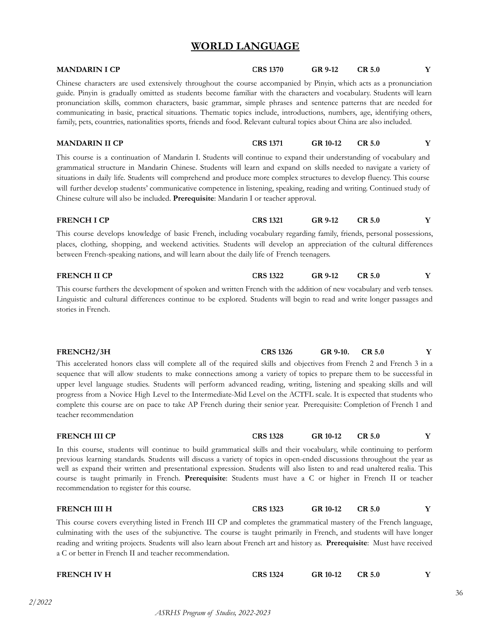# **WORLD LANGUAGE**

<span id="page-35-0"></span>

| <b>MANDARIN I CP</b>                                                                                                                                                                                                                                                                                                                                                                                                                                                                                                                                                                                                                             | <b>CRS 1370</b>                                                                                                                                                                                                                                                                                                                                                                                                                                                                                                                                                                         | GR 9-12  | <b>CR 5.0</b> | Y |  |
|--------------------------------------------------------------------------------------------------------------------------------------------------------------------------------------------------------------------------------------------------------------------------------------------------------------------------------------------------------------------------------------------------------------------------------------------------------------------------------------------------------------------------------------------------------------------------------------------------------------------------------------------------|-----------------------------------------------------------------------------------------------------------------------------------------------------------------------------------------------------------------------------------------------------------------------------------------------------------------------------------------------------------------------------------------------------------------------------------------------------------------------------------------------------------------------------------------------------------------------------------------|----------|---------------|---|--|
| Chinese characters are used extensively throughout the course accompanied by Pinyin, which acts as a pronunciation<br>guide. Pinyin is gradually omitted as students become familiar with the characters and vocabulary. Students will learn<br>pronunciation skills, common characters, basic grammar, simple phrases and sentence patterns that are needed for<br>communicating in basic, practical situations. Thematic topics include, introductions, numbers, age, identifying others,<br>family, pets, countries, nationalities sports, friends and food. Relevant cultural topics about China are also included.                          |                                                                                                                                                                                                                                                                                                                                                                                                                                                                                                                                                                                         |          |               |   |  |
| <b>MANDARIN II CP</b>                                                                                                                                                                                                                                                                                                                                                                                                                                                                                                                                                                                                                            | <b>CRS 1371</b>                                                                                                                                                                                                                                                                                                                                                                                                                                                                                                                                                                         | GR 10-12 | <b>CR 5.0</b> | Y |  |
|                                                                                                                                                                                                                                                                                                                                                                                                                                                                                                                                                                                                                                                  | This course is a continuation of Mandarin I. Students will continue to expand their understanding of vocabulary and<br>grammatical structure in Mandarin Chinese. Students will learn and expand on skills needed to navigate a variety of<br>situations in daily life. Students will comprehend and produce more complex structures to develop fluency. This course<br>will further develop students' communicative competence in listening, speaking, reading and writing. Continued study of<br>Chinese culture will also be included. Prerequisite: Mandarin I or teacher approval. |          |               |   |  |
| <b>FRENCH I CP</b>                                                                                                                                                                                                                                                                                                                                                                                                                                                                                                                                                                                                                               | <b>CRS 1321</b>                                                                                                                                                                                                                                                                                                                                                                                                                                                                                                                                                                         | GR 9-12  | <b>CR 5.0</b> | Y |  |
| This course develops knowledge of basic French, including vocabulary regarding family, friends, personal possessions,<br>places, clothing, shopping, and weekend activities. Students will develop an appreciation of the cultural differences<br>between French-speaking nations, and will learn about the daily life of French teenagers.                                                                                                                                                                                                                                                                                                      |                                                                                                                                                                                                                                                                                                                                                                                                                                                                                                                                                                                         |          |               |   |  |
| <b>FRENCH II CP</b>                                                                                                                                                                                                                                                                                                                                                                                                                                                                                                                                                                                                                              | <b>CRS 1322</b>                                                                                                                                                                                                                                                                                                                                                                                                                                                                                                                                                                         | GR 9-12  | <b>CR 5.0</b> | Y |  |
| This course furthers the development of spoken and written French with the addition of new vocabulary and verb tenses.<br>Linguistic and cultural differences continue to be explored. Students will begin to read and write longer passages and<br>stories in French.                                                                                                                                                                                                                                                                                                                                                                           |                                                                                                                                                                                                                                                                                                                                                                                                                                                                                                                                                                                         |          |               |   |  |
| FRENCH2/3H                                                                                                                                                                                                                                                                                                                                                                                                                                                                                                                                                                                                                                       | <b>CRS 1326</b>                                                                                                                                                                                                                                                                                                                                                                                                                                                                                                                                                                         | GR 9-10. | <b>CR 5.0</b> | Y |  |
| This accelerated honors class will complete all of the required skills and objectives from French 2 and French 3 in a<br>sequence that will allow students to make connections among a variety of topics to prepare them to be successful in<br>upper level language studies. Students will perform advanced reading, writing, listening and speaking skills and will<br>progress from a Novice High Level to the Intermediate-Mid Level on the ACTFL scale. It is expected that students who<br>complete this course are on pace to take AP French during their senior year. Prerequisite: Completion of French 1 and<br>teacher recommendation |                                                                                                                                                                                                                                                                                                                                                                                                                                                                                                                                                                                         |          |               |   |  |
| FRENCH III CP                                                                                                                                                                                                                                                                                                                                                                                                                                                                                                                                                                                                                                    | <b>CRS 1328</b>                                                                                                                                                                                                                                                                                                                                                                                                                                                                                                                                                                         | GR 10-12 | CR 5.0        | Y |  |
| In this course, students will continue to build grammatical skills and their vocabulary, while continuing to perform<br>previous learning standards. Students will discuss a variety of topics in open-ended discussions throughout the year as<br>well as expand their written and presentational expression. Students will also listen to and read unaltered realia. This<br>course is taught primarily in French. Prerequisite: Students must have a C or higher in French II or teacher<br>recommendation to register for this course.                                                                                                       |                                                                                                                                                                                                                                                                                                                                                                                                                                                                                                                                                                                         |          |               |   |  |
| FRENCH III H                                                                                                                                                                                                                                                                                                                                                                                                                                                                                                                                                                                                                                     | <b>CRS 1323</b>                                                                                                                                                                                                                                                                                                                                                                                                                                                                                                                                                                         | GR 10-12 | <b>CR 5.0</b> | Y |  |

This course covers everything listed in French III CP and completes the grammatical mastery of the French language, culminating with the uses of the subjunctive. The course is taught primarily in French, and students will have longer reading and writing projects. Students will also learn about French art and history as. **Prerequisite**: Must have received a C or better in French II and teacher recommendation.

| <b>FRENCH IV H</b> | CRS 1324 | GR 10-12 | CR 5.0 |  |
|--------------------|----------|----------|--------|--|
|                    |          |          |        |  |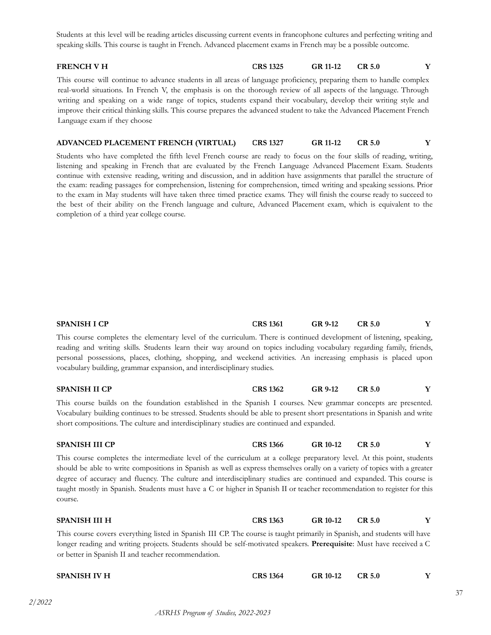Students at this level will be reading articles discussing current events in francophone cultures and perfecting writing and speaking skills. This course is taught in French. Advanced placement exams in French may be a possible outcome.

### **FRENCH V H CRS 1325 GR 11-12 CR 5.0 Y**

This course will continue to advance students in all areas of language proficiency, preparing them to handle complex real-world situations. In French V, the emphasis is on the thorough review of all aspects of the language. Through writing and speaking on a wide range of topics, students expand their vocabulary, develop their writing style and improve their critical thinking skills. This course prepares the advanced student to take the Advanced Placement French Language exam if they choose

#### **ADVANCED PLACEMENT FRENCH (VIRTUAL) CRS 1327 GR 11-12 CR 5.0 Y**

Students who have completed the fifth level French course are ready to focus on the four skills of reading, writing, listening and speaking in French that are evaluated by the French Language Advanced Placement Exam. Students continue with extensive reading, writing and discussion, and in addition have assignments that parallel the structure of the exam: reading passages for comprehension, listening for comprehension, timed writing and speaking sessions. Prior to the exam in May students will have taken three timed practice exams. They will finish the course ready to succeed to the best of their ability on the French language and culture, Advanced Placement exam, which is equivalent to the completion of a third year college course.

**SPANISH I CP CRS 1361 GR 9-12 CR 5.0 Y**

| This course completes the elementary level of the curriculum. There is continued development of listening, speaking,<br>reading and writing skills. Students learn their way around on topics including vocabulary regarding family, friends,<br>personal possessions, places, clothing, shopping, and weekend activities. An increasing emphasis is placed upon<br>vocabulary building, grammar expansion, and interdisciplinary studies.                                                                         |                 |          |               |   |
|--------------------------------------------------------------------------------------------------------------------------------------------------------------------------------------------------------------------------------------------------------------------------------------------------------------------------------------------------------------------------------------------------------------------------------------------------------------------------------------------------------------------|-----------------|----------|---------------|---|
| <b>SPANISH II CP</b>                                                                                                                                                                                                                                                                                                                                                                                                                                                                                               | <b>CRS 1362</b> | GR 9-12  | CR 5.0        | Y |
| This course builds on the foundation established in the Spanish I courses. New grammar concepts are presented.<br>Vocabulary building continues to be stressed. Students should be able to present short presentations in Spanish and write<br>short compositions. The culture and interdisciplinary studies are continued and expanded.                                                                                                                                                                           |                 |          |               |   |
| <b>SPANISH III CP</b>                                                                                                                                                                                                                                                                                                                                                                                                                                                                                              | <b>CRS 1366</b> | GR 10-12 | <b>CR 5.0</b> | Y |
| This course completes the intermediate level of the curriculum at a college preparatory level. At this point, students<br>should be able to write compositions in Spanish as well as express themselves orally on a variety of topics with a greater<br>degree of accuracy and fluency. The culture and interdisciplinary studies are continued and expanded. This course is<br>taught mostly in Spanish. Students must have a C or higher in Spanish II or teacher recommendation to register for this<br>course. |                 |          |               |   |
| <b>SPANISH III H</b>                                                                                                                                                                                                                                                                                                                                                                                                                                                                                               | <b>CRS 1363</b> | GR 10-12 | <b>CR 5.0</b> | Y |
| This course covers everything listed in Spanish III CP. The course is taught primarily in Spanish, and students will have<br>longer reading and writing projects. Students should be self-motivated speakers. Prerequisite: Must have received a C<br>or better in Spanish II and teacher recommendation.                                                                                                                                                                                                          |                 |          |               |   |
| <b>SPANISH IV H</b>                                                                                                                                                                                                                                                                                                                                                                                                                                                                                                | <b>CRS 1364</b> | GR 10-12 | <b>CR 5.0</b> | Y |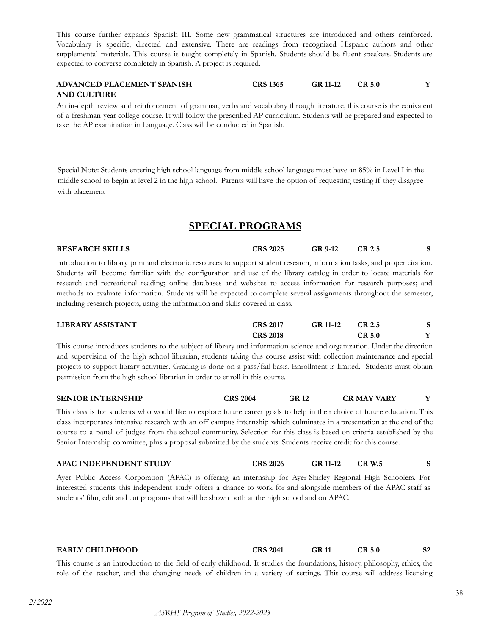This course further expands Spanish III. Some new grammatical structures are introduced and others reinforced. Vocabulary is specific, directed and extensive. There are readings from recognized Hispanic authors and other supplemental materials. This course is taught completely in Spanish. Students should be fluent speakers. Students are expected to converse completely in Spanish. A project is required.

#### **ADVANCED PLACEMENT SPANISH AND CULTURE CRS 1365 GR 11-12 CR 5.0 Y**

An in-depth review and reinforcement of grammar, verbs and vocabulary through literature, this course is the equivalent of a freshman year college course. It will follow the prescribed AP curriculum. Students will be prepared and expected to take the AP examination in Language. Class will be conducted in Spanish.

Special Note: Students entering high school language from middle school language must have an 85% in Level I in the middle school to begin at level 2 in the high school. Parents will have the option of requesting testing if they disagree with placement

# **SPECIAL PROGRAMS**

<span id="page-37-0"></span>**RESEARCH SKILLS CRS 2025 GR 9-12 CR 2.5 S** Introduction to library print and electronic resources to support student research, information tasks, and proper citation.

Students will become familiar with the configuration and use of the library catalog in order to locate materials for research and recreational reading; online databases and websites to access information for research purposes; and methods to evaluate information. Students will be expected to complete several assignments throughout the semester, including research projects, using the information and skills covered in class.

| LIBRARY ASSISTANT                                                                                                       | <b>CRS 2017</b> | GR 11-12 | CR 2.5 |  |
|-------------------------------------------------------------------------------------------------------------------------|-----------------|----------|--------|--|
|                                                                                                                         | <b>CRS 2018</b> |          | CR 5.0 |  |
| This course introduces students to the subject of library and information science and organization. Under the direction |                 |          |        |  |

and supervision of the high school librarian, students taking this course assist with collection maintenance and special projects to support library activities. Grading is done on a pass/fail basis. Enrollment is limited. Students must obtain permission from the high school librarian in order to enroll in this course.

#### **SENIOR INTERNSHIP CRS 2004 GR 12 CR MAY VARY Y**

This class is for students who would like to explore future career goals to help in their choice of future education. This class incorporates intensive research with an off campus internship which culminates in a presentation at the end of the course to a panel of judges from the school community. Selection for this class is based on criteria established by the Senior Internship committee, plus a proposal submitted by the students. Students receive credit for this course.

### **APAC INDEPENDENT STUDY CRS 2026 GR 11-12 CR W.5 S**

Ayer Public Access Corporation (APAC) is offering an internship for Ayer-Shirley Regional High Schoolers. For interested students this independent study offers a chance to work for and alongside members of the APAC staff as students' film, edit and cut programs that will be shown both at the high school and on APAC.

# **EARLY CHILDHOOD CRS 2041 GR 11 CR 5.0 S2**

This course is an introduction to the field of early childhood. It studies the foundations, history, philosophy, ethics, the role of the teacher, and the changing needs of children in a variety of settings. This course will address licensing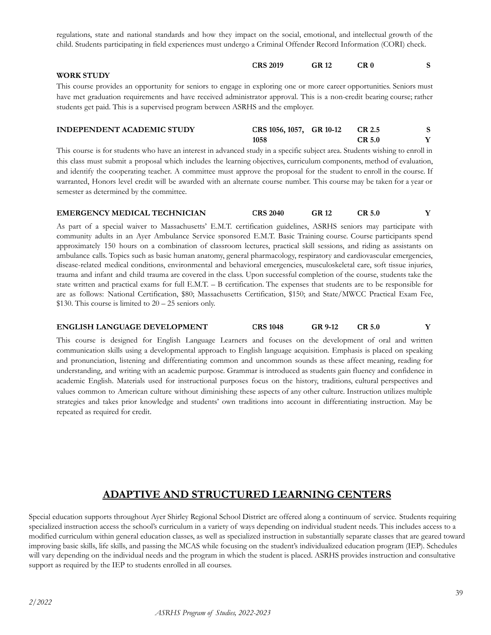regulations, state and national standards and how they impact on the social, emotional, and intellectual growth of the child. Students participating in field experiences must undergo a Criminal Offender Record Information (CORI) check.

|                   | <b>CRS 2019</b> | <b>GR 12</b> | CR 0 |  |
|-------------------|-----------------|--------------|------|--|
| <b>WORK STUDY</b> |                 |              |      |  |

This course provides an opportunity for seniors to engage in exploring one or more career opportunities. Seniors must have met graduation requirements and have received administrator approval. This is a non-credit bearing course; rather students get paid. This is a supervised program between ASRHS and the employer.

| <b>INDEPENDENT ACADEMIC STUDY</b> | CRS 1056, 1057, GR 10-12 | CR 2.5 |  |
|-----------------------------------|--------------------------|--------|--|
|                                   | 1058                     | CR 5.0 |  |

This course is for students who have an interest in advanced study in a specific subject area. Students wishing to enroll in this class must submit a proposal which includes the learning objectives, curriculum components, method of evaluation, and identify the cooperating teacher. A committee must approve the proposal for the student to enroll in the course. If warranted, Honors level credit will be awarded with an alternate course number. This course may be taken for a year or semester as determined by the committee.

| <b>CRS 2040</b><br>CR 5.0<br><b>GR 12</b> | <b>EMERGENCY MEDICAL TECHNICIAN</b> |  |  |  |  |
|-------------------------------------------|-------------------------------------|--|--|--|--|
|-------------------------------------------|-------------------------------------|--|--|--|--|

As part of a special waiver to Massachusetts' E.M.T. certification guidelines, ASRHS seniors may participate with community adults in an Ayer Ambulance Service sponsored E.M.T. Basic Training course. Course participants spend approximately 150 hours on a combination of classroom lectures, practical skill sessions, and riding as assistants on ambulance calls. Topics such as basic human anatomy, general pharmacology, respiratory and cardiovascular emergencies, disease-related medical conditions, environmental and behavioral emergencies, musculoskeletal care, soft tissue injuries, trauma and infant and child trauma are covered in the class. Upon successful completion of the course, students take the state written and practical exams for full E.M.T. – B certification. The expenses that students are to be responsible for are as follows: National Certification, \$80; Massachusetts Certification, \$150; and State/MWCC Practical Exam Fee,  $$130.$  This course is limited to  $20 - 25$  seniors only.

#### **ENGLISH LANGUAGE DEVELOPMENT CRS 1048 GR 9-12 CR 5.0 Y**

This course is designed for English Language Learners and focuses on the development of oral and written communication skills using a developmental approach to English language acquisition. Emphasis is placed on speaking and pronunciation, listening and differentiating common and uncommon sounds as these affect meaning, reading for understanding, and writing with an academic purpose. Grammar is introduced as students gain fluency and confidence in academic English. Materials used for instructional purposes focus on the history, traditions, cultural perspectives and values common to American culture without diminishing these aspects of any other culture. Instruction utilizes multiple strategies and takes prior knowledge and students' own traditions into account in differentiating instruction. May be repeated as required for credit.

# **ADAPTIVE AND STRUCTURED LEARNING CENTERS**

Special education supports throughout Ayer Shirley Regional School District are offered along a continuum of service. Students requiring specialized instruction access the school's curriculum in a variety of ways depending on individual student needs. This includes access to a modified curriculum within general education classes, as well as specialized instruction in substantially separate classes that are geared toward improving basic skills, life skills, and passing the MCAS while focusing on the student's individualized education program (IEP). Schedules will vary depending on the individual needs and the program in which the student is placed. ASRHS provides instruction and consultative support as required by the IEP to students enrolled in all courses.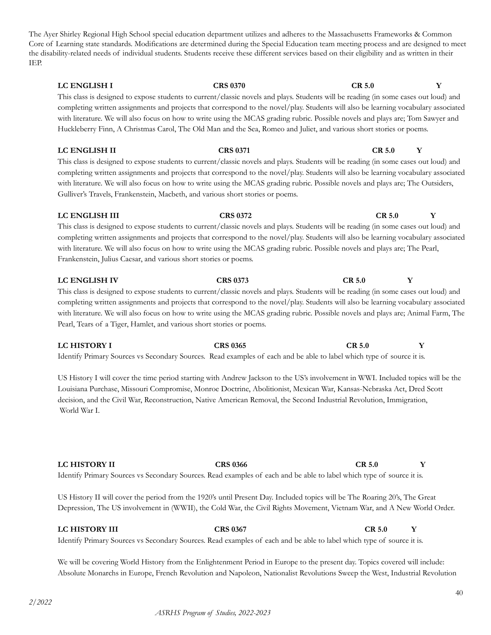The Ayer Shirley Regional High School special education department utilizes and adheres to the Massachusetts Frameworks & Common Core of Learning state standards. Modifications are determined during the Special Education team meeting process and are designed to meet the disability-related needs of individual students. Students receive these different services based on their eligibility and as written in their IEP.

**LC ENGLISH I CRS 0370 CR 5.0 Y** This class is designed to expose students to current/classic novels and plays. Students will be reading (in some cases out loud) and completing written assignments and projects that correspond to the novel/play. Students will also be learning vocabulary associated with literature. We will also focus on how to write using the MCAS grading rubric. Possible novels and plays are; Tom Sawyer and Huckleberry Finn, A Christmas Carol, The Old Man and the Sea, Romeo and Juliet, and various short stories or poems.

This class is designed to expose students to current/classic novels and plays. Students will be reading (in some cases out loud) and completing written assignments and projects that correspond to the novel/play. Students will also be learning vocabulary associated with literature. We will also focus on how to write using the MCAS grading rubric. Possible novels and plays are; The Outsiders, Gulliver's Travels, Frankenstein, Macbeth, and various short stories or poems.

**LC ENGLISH III CRS 0372 CR 5.0 Y** This class is designed to expose students to current/classic novels and plays. Students will be reading (in some cases out loud) and completing written assignments and projects that correspond to the novel/play. Students will also be learning vocabulary associated with literature. We will also focus on how to write using the MCAS grading rubric. Possible novels and plays are; The Pearl, Frankenstein, Julius Caesar, and various short stories or poems.

**LC ENGLISH IV CRS 0373 CR 5.0 Y** This class is designed to expose students to current/classic novels and plays. Students will be reading (in some cases out loud) and completing written assignments and projects that correspond to the novel/play. Students will also be learning vocabulary associated with literature. We will also focus on how to write using the MCAS grading rubric. Possible novels and plays are; Animal Farm, The Pearl, Tears of a Tiger, Hamlet, and various short stories or poems.

**LC HISTORY I CRS 0365 CR 5.0 Y** Identify Primary Sources vs Secondary Sources. Read examples of each and be able to label which type of source it is.

US History I will cover the time period starting with Andrew Jackson to the US's involvement in WWI. Included topics will be the Louisiana Purchase, Missouri Compromise, Monroe Doctrine, Abolitionist, Mexican War, Kansas-Nebraska Act, Dred Scott decision, and the Civil War, Reconstruction, Native American Removal, the Second Industrial Revolution, Immigration, World War I.

**LC HISTORY II CRS 0366 CR 5.0 Y** Identify Primary Sources vs Secondary Sources. Read examples of each and be able to label which type of source it is.

US History II will cover the period from the 1920's until Present Day. Included topics will be The Roaring 20's, The Great Depression, The US involvement in (WWII), the Cold War, the Civil Rights Movement, Vietnam War, and A New World Order.

### **LC HISTORY III CRS 0367 CR 5.0 Y**

Identify Primary Sources vs Secondary Sources. Read examples of each and be able to label which type of source it is.

We will be covering World History from the Enlightenment Period in Europe to the present day. Topics covered will include: Absolute Monarchs in Europe, French Revolution and Napoleon, Nationalist Revolutions Sweep the West, Industrial Revolution

### **LC ENGLISH II CRS 0371 CR 5.0 Y**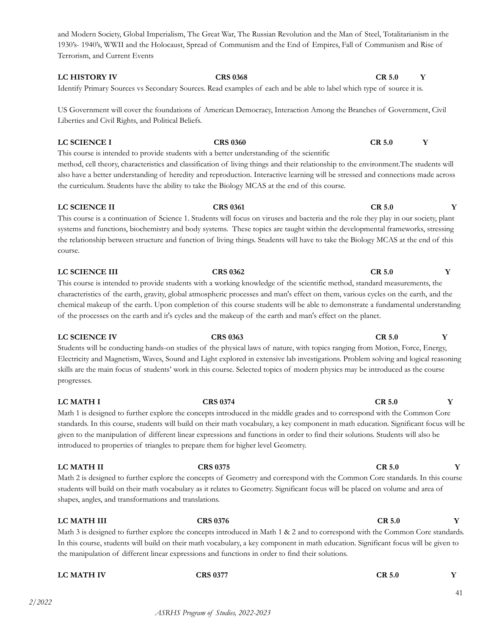and Modern Society, Global Imperialism, The Great War, The Russian Revolution and the Man of Steel, Totalitarianism in the 1930's- 1940's, WWII and the Holocaust, Spread of Communism and the End of Empires, Fall of Communism and Rise of Terrorism, and Current Events

# **LC HISTORY IV CRS 0368 CR 5.0 Y**

Identify Primary Sources vs Secondary Sources. Read examples of each and be able to label which type of source it is.

US Government will cover the foundations of American Democracy, Interaction Among the Branches of Government, Civil Liberties and Civil Rights, and Political Beliefs.

**LC SCIENCE I CRS 0360 CR 5.0 Y** This course is intended to provide students with a better understanding of the scientific method, cell theory, characteristics and classification of living things and their relationship to the environment.The students will also have a better understanding of heredity and reproduction. Interactive learning will be stressed and connections made across the curriculum. Students have the ability to take the Biology MCAS at the end of this course.

### **LC SCIENCE II CRS 0361 CR 5.0 Y**

This course is a continuation of Science 1. Students will focus on viruses and bacteria and the role they play in our society, plant systems and functions, biochemistry and body systems. These topics are taught within the developmental frameworks, stressing the relationship between structure and function of living things. Students will have to take the Biology MCAS at the end of this course.

This course is intended to provide students with a working knowledge of the scientific method, standard measurements, the characteristics of the earth, gravity, global atmospheric processes and man's effect on them, various cycles on the earth, and the chemical makeup of the earth. Upon completion of this course students will be able to demonstrate a fundamental understanding of the processes on the earth and it's cycles and the makeup of the earth and man's effect on the planet.

#### **LC SCIENCE IV CRS 0363 CR 5.0 Y**

Students will be conducting hands-on studies of the physical laws of nature, with topics ranging from Motion, Force, Energy, Electricity and Magnetism, Waves, Sound and Light explored in extensive lab investigations. Problem solving and logical reasoning skills are the main focus of students' work in this course. Selected topics of modern physics may be introduced as the course progresses.

Math 1 is designed to further explore the concepts introduced in the middle grades and to correspond with the Common Core standards. In this course, students will build on their math vocabulary, a key component in math education. Significant focus will be given to the manipulation of different linear expressions and functions in order to find their solutions. Students will also be introduced to properties of triangles to prepare them for higher level Geometry.

### **LC MATH II CRS 0375 CR 5.0 Y**

Math 2 is designed to further explore the concepts of Geometry and correspond with the Common Core standards. In this course students will build on their math vocabulary as it relates to Geometry. Significant focus will be placed on volume and area of shapes, angles, and transformations and translations.

### **LC MATH III CRS 0376 CR 5.0 Y**

Math 3 is designed to further explore the concepts introduced in Math 1 & 2 and to correspond with the Common Core standards. In this course, students will build on their math vocabulary, a key component in math education. Significant focus will be given to the manipulation of different linear expressions and functions in order to find their solutions.

#### *2/2022*

# **LC MATH I CRS 0374 CR 5.0 Y**

**LC MATH IV CRS 0377 CR 5.0 Y**

# **LC SCIENCE III CRS 0362 CR 5.0 Y**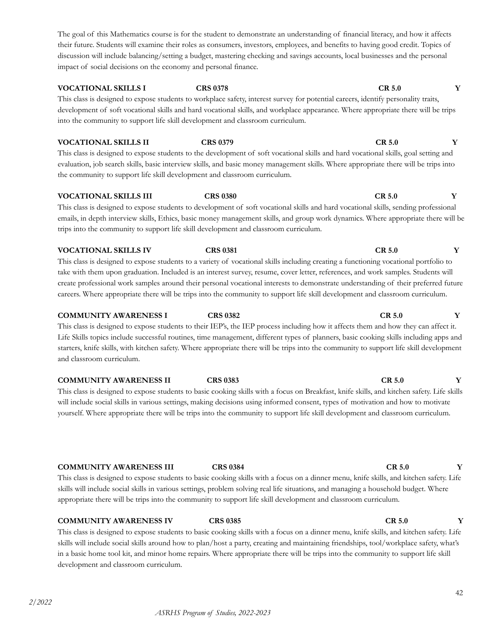This class is designed to expose students to workplace safety, interest survey for potential careers, identify personality traits, development of soft vocational skills and hard vocational skills, and workplace appearance. Where appropriate there will be trips into the community to support life skill development and classroom curriculum.

**VOCATIONAL SKILLS II CRS 0379 CR 5.0 Y** This class is designed to expose students to the development of soft vocational skills and hard vocational skills, goal setting and evaluation, job search skills, basic interview skills, and basic money management skills. Where appropriate there will be trips into the community to support life skill development and classroom curriculum.

**VOCATIONAL SKILLS III CRS 0380 CR 5.0 Y** This class is designed to expose students to development of soft vocational skills and hard vocational skills, sending professional emails, in depth interview skills, Ethics, basic money management skills, and group work dynamics. Where appropriate there will be trips into the community to support life skill development and classroom curriculum.

This class is designed to expose students to a variety of vocational skills including creating a functioning vocational portfolio to take with them upon graduation. Included is an interest survey, resume, cover letter, references, and work samples. Students will create professional work samples around their personal vocational interests to demonstrate understanding of their preferred future careers. Where appropriate there will be trips into the community to support life skill development and classroom curriculum.

This class is designed to expose students to their IEP's, the IEP process including how it affects them and how they can affect it. Life Skills topics include successful routines, time management, different types of planners, basic cooking skills including apps and starters, knife skills, with kitchen safety. Where appropriate there will be trips into the community to support life skill development and classroom curriculum.

**COMMUNITY AWARENESS I CRS 0382 CR 5.0 Y**

**COMMUNITY AWARENESS II CRS 0383 CR 5.0 Y** This class is designed to expose students to basic cooking skills with a focus on Breakfast, knife skills, and kitchen safety. Life skills will include social skills in various settings, making decisions using informed consent, types of motivation and how to motivate yourself. Where appropriate there will be trips into the community to support life skill development and classroom curriculum.

**COMMUNITY AWARENESS III CRS 0384 CR 5.0 Y**

This class is designed to expose students to basic cooking skills with a focus on a dinner menu, knife skills, and kitchen safety. Life skills will include social skills in various settings, problem solving real life situations, and managing a household budget. Where appropriate there will be trips into the community to support life skill development and classroom curriculum.

### **COMMUNITY AWARENESS IV CRS 0385 CR 5.0 Y**

This class is designed to expose students to basic cooking skills with a focus on a dinner menu, knife skills, and kitchen safety. Life skills will include social skills around how to plan/host a party, creating and maintaining friendships, tool/workplace safety, what's in a basic home tool kit, and minor home repairs. Where appropriate there will be trips into the community to support life skill development and classroom curriculum.

# **VOCATIONAL SKILLS I CRS 0378 CR 5.0 Y**

# **VOCATIONAL SKILLS IV CRS 0381 CR 5.0 Y**

42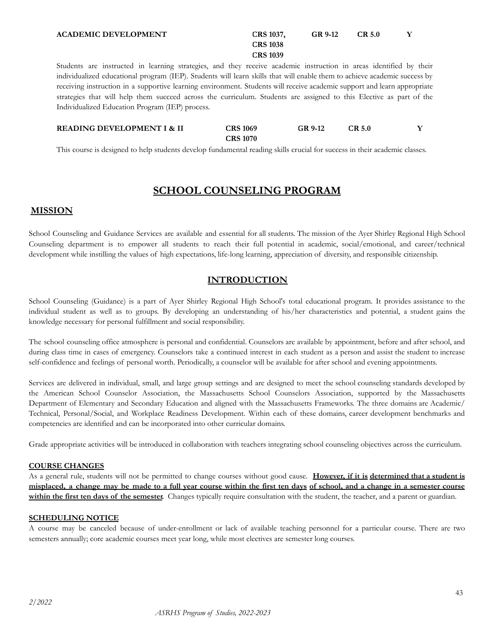#### **ACADEMIC DEVELOPMENT CRS 1037,**

#### **CRS 1038 CRS 1039 GR 9-12 CR 5.0 Y**

Students are instructed in learning strategies, and they receive academic instruction in areas identified by their individualized educational program (IEP). Students will learn skills that will enable them to achieve academic success by receiving instruction in a supportive learning environment. Students will receive academic support and learn appropriate strategies that will help them succeed across the curriculum. Students are assigned to this Elective as part of the Individualized Education Program (IEP) process.

#### **READING DEVELOPMENT I & II CRS 1069 CRS 1070 GR 9-12 CR 5.0 Y**

This course is designed to help students develop fundamental reading skills crucial for success in their academic classes.

# **SCHOOL COUNSELING PROGRAM**

### <span id="page-42-0"></span>**MISSION**

School Counseling and Guidance Services are available and essential for all students. The mission of the Ayer Shirley Regional High School Counseling department is to empower all students to reach their full potential in academic, social/emotional, and career/technical development while instilling the values of high expectations, life-long learning, appreciation of diversity, and responsible citizenship.

### **INTRODUCTION**

School Counseling (Guidance) is a part of Ayer Shirley Regional High School's total educational program. It provides assistance to the individual student as well as to groups. By developing an understanding of his/her characteristics and potential, a student gains the knowledge necessary for personal fulfillment and social responsibility.

The school counseling office atmosphere is personal and confidential. Counselors are available by appointment, before and after school, and during class time in cases of emergency. Counselors take a continued interest in each student as a person and assist the student to increase self-confidence and feelings of personal worth. Periodically, a counselor will be available for after school and evening appointments.

Services are delivered in individual, small, and large group settings and are designed to meet the school counseling standards developed by the American School Counselor Association, the Massachusetts School Counselors Association, supported by the Massachusetts Department of Elementary and Secondary Education and aligned with the Massachusetts Frameworks. The three domains are Academic/ Technical, Personal/Social, and Workplace Readiness Development. Within each of these domains, career development benchmarks and competencies are identified and can be incorporated into other curricular domains.

Grade appropriate activities will be introduced in collaboration with teachers integrating school counseling objectives across the curriculum.

#### **COURSE CHANGES**

As a general rule, students will not be permitted to change courses without good cause. **However, if it is determined that a student is** misplaced, a change may be made to a full year course within the first ten days of school, and a change in a semester course **within the first ten days of the semester.** Changes typically require consultation with the student, the teacher, and a parent or guardian.

#### **SCHEDULING NOTICE**

A course may be canceled because of under-enrollment or lack of available teaching personnel for a particular course. There are two semesters annually; core academic courses meet year long, while most electives are semester long courses.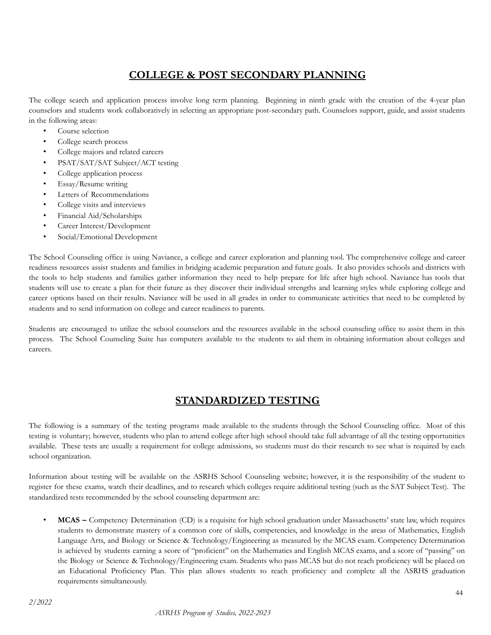# **COLLEGE & POST SECONDARY PLANNING**

<span id="page-43-0"></span>The college search and application process involve long term planning. Beginning in ninth grade with the creation of the 4-year plan counselors and students work collaboratively in selecting an appropriate post-secondary path. Counselors support, guide, and assist students in the following areas:

- Course selection
- College search process
- College majors and related careers
- PSAT/SAT/SAT Subject/ACT testing
- College application process
- Essay/Resume writing
- Letters of Recommendations
- College visits and interviews
- Financial Aid/Scholarships
- Career Interest/Development
- Social/Emotional Development

The School Counseling office is using Naviance, a college and career exploration and planning tool. The comprehensive college and career readiness resources assist students and families in bridging academic preparation and future goals. It also provides schools and districts with the tools to help students and families gather information they need to help prepare for life after high school. Naviance has tools that students will use to create a plan for their future as they discover their individual strengths and learning styles while exploring college and career options based on their results. Naviance will be used in all grades in order to communicate activities that need to be completed by students and to send information on college and career readiness to parents.

<span id="page-43-1"></span>Students are encouraged to utilize the school counselors and the resources available in the school counseling office to assist them in this process. The School Counseling Suite has computers available to the students to aid them in obtaining information about colleges and careers.

# **STANDARDIZED TESTING**

The following is a summary of the testing programs made available to the students through the School Counseling office. Most of this testing is voluntary; however, students who plan to attend college after high school should take full advantage of all the testing opportunities available. These tests are usually a requirement for college admissions, so students must do their research to see what is required by each school organization.

Information about testing will be available on the ASRHS School Counseling website; however, it is the responsibility of the student to register for these exams, watch their deadlines, and to research which colleges require additional testing (such as the SAT Subject Test). The standardized tests recommended by the school counseling department are:

• **MCAS –** Competency Determination (CD) is a requisite for high school graduation under Massachusetts' state law, which requires students to demonstrate mastery of a common core of skills, competencies, and knowledge in the areas of Mathematics, English Language Arts, and Biology or Science & Technology/Engineering as measured by the MCAS exam. Competency Determination is achieved by students earning a score of "proficient" on the Mathematics and English MCAS exams, and a score of "passing" on the Biology or Science & Technology/Engineering exam. Students who pass MCAS but do not reach proficiency will be placed on an Educational Proficiency Plan. This plan allows students to reach proficiency and complete all the ASRHS graduation requirements simultaneously.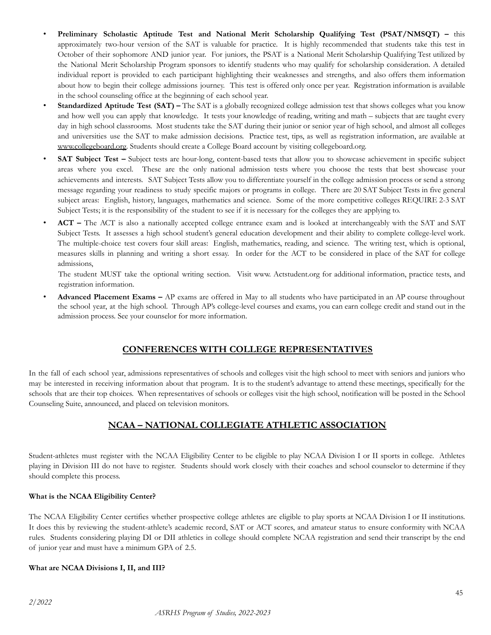- **Preliminary Scholastic Aptitude Test and National Merit Scholarship Qualifying Test (PSAT/NMSQT) –** this approximately two-hour version of the SAT is valuable for practice. It is highly recommended that students take this test in October of their sophomore AND junior year. For juniors, the PSAT is a National Merit Scholarship Qualifying Test utilized by the National Merit Scholarship Program sponsors to identify students who may qualify for scholarship consideration. A detailed individual report is provided to each participant highlighting their weaknesses and strengths, and also offers them information about how to begin their college admissions journey. This test is offered only once per year. Registration information is available in the school counseling office at the beginning of each school year.
- **Standardized Aptitude Test (SAT) –** The SAT is a globally recognized college admission test that shows colleges what you know and how well you can apply that knowledge. It tests your knowledge of reading, writing and math – subjects that are taught every day in high school classrooms. Most students take the SAT during their junior or senior year of high school, and almost all colleges and universities use the SAT to make admission decisions. Practice test, tips, as well as registration information, are available at [www.collegeboard.org.](http://www.collegeboard.com/) Students should create a College Board account by visiting collegeboard.org.
- **SAT** Subject Test Subject tests are hour-long, content-based tests that allow you to showcase achievement in specific subject areas where you excel. These are the only national admission tests where you choose the tests that best showcase your achievements and interests. SAT Subject Tests allow you to differentiate yourself in the college admission process or send a strong message regarding your readiness to study specific majors or programs in college. There are 20 SAT Subject Tests in five general subject areas: English, history, languages, mathematics and science. Some of the more competitive colleges REQUIRE 2-3 SAT Subject Tests; it is the responsibility of the student to see if it is necessary for the colleges they are applying to.
- **ACT –** The ACT is also a nationally accepted college entrance exam and is looked at interchangeably with the SAT and SAT Subject Tests. It assesses a high school student's general education development and their ability to complete college-level work. The multiple-choice test covers four skill areas: English, mathematics, reading, and science. The writing test, which is optional, measures skills in planning and writing a short essay. In order for the ACT to be considered in place of the SAT for college admissions,

The student MUST take the optional writing section. Visit www. Actstudent.org for additional information, practice tests, and registration information.

• **Advanced Placement Exams –** AP exams are offered in May to all students who have participated in an AP course throughout the school year, at the high school. Through AP's college-level courses and exams, you can earn college credit and stand out in the admission process. See your counselor for more information.

### **CONFERENCES WITH COLLEGE REPRESENTATIVES**

In the fall of each school year, admissions representatives of schools and colleges visit the high school to meet with seniors and juniors who may be interested in receiving information about that program. It is to the student's advantage to attend these meetings, specifically for the schools that are their top choices. When representatives of schools or colleges visit the high school, notification will be posted in the School Counseling Suite, announced, and placed on television monitors.

### **NCAA – NATIONAL COLLEGIATE ATHLETIC ASSOCIATION**

Student-athletes must register with the NCAA Eligibility Center to be eligible to play NCAA Division I or II sports in college. Athletes playing in Division III do not have to register. Students should work closely with their coaches and school counselor to determine if they should complete this process.

#### **What is the NCAA Eligibility Center?**

The NCAA Eligibility Center certifies whether prospective college athletes are eligible to play sports at NCAA Division I or II institutions. It does this by reviewing the student-athlete's academic record, SAT or ACT scores, and amateur status to ensure conformity with NCAA rules. Students considering playing DI or DII athletics in college should complete NCAA registration and send their transcript by the end of junior year and must have a minimum GPA of 2.5.

#### **What are NCAA Divisions I, II, and III?**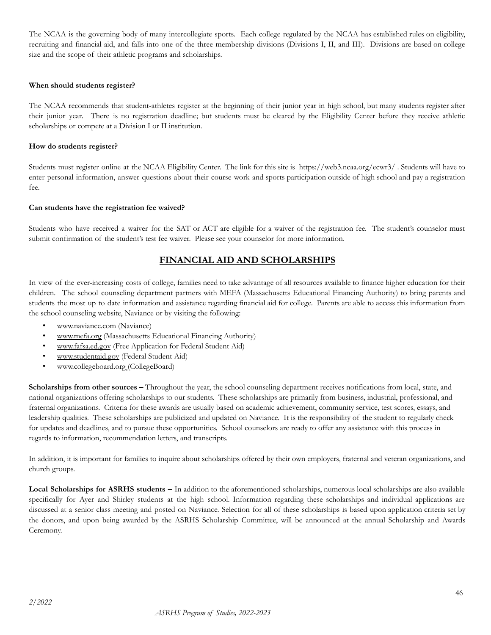The NCAA is the governing body of many intercollegiate sports. Each college regulated by the NCAA has established rules on eligibility, recruiting and financial aid, and falls into one of the three membership divisions (Divisions I, II, and III). Divisions are based on college size and the scope of their athletic programs and scholarships.

#### **When should students register?**

The NCAA recommends that student-athletes register at the beginning of their junior year in high school, but many students register after their junior year. There is no registration deadline; but students must be cleared by the Eligibility Center before they receive athletic scholarships or compete at a Division I or II institution.

#### **How do students register?**

Students must register online at the NCAA Eligibility Center. The link for this site is https://web3.ncaa.org/ecwr3/ [.](http://web1.ncaa.org/ECWR2/NCAA_EMS/NCAA.jsp) Students will have to enter personal information, answer questions about their course work and sports participation outside of high school and pay a registration fee.

#### **Can students have the registration fee waived?**

Students who have received a waiver for the SAT or ACT are eligible for a waiver of the registration fee. The student's counselor must submit confirmation of the student's test fee waiver. Please see your counselor for more information.

### **FINANCIAL AID AND SCHOLARSHIPS**

In view of the ever-increasing costs of college, families need to take advantage of all resources available to finance higher education for their children. The school counseling department partners with MEFA (Massachusetts Educational Financing Authority) to bring parents and students the most up to date information and assistance regarding financial aid for college. Parents are able to access this information from the school counseling website, Naviance or by visiting the following:

- www.naviance.com (Naviance)
- [www.mefa.org](http://www.mefa.org/) (Massachusetts Educational Financing Authority)
- [www.fafsa.ed.gov](http://www.fafsa.ed.gov/) (Free Application for Federal Student Aid)
- [www.studentaid.gov](http://www.studentaid.gov) (Federal Student Aid)
- [www.collegeboard.org](http://www.collegeboard.org) (CollegeBoard)

**Scholarships from other sources –** Throughout the year, the school counseling department receives notifications from local, state, and national organizations offering scholarships to our students. These scholarships are primarily from business, industrial, professional, and fraternal organizations. Criteria for these awards are usually based on academic achievement, community service, test scores, essays, and leadership qualities. These scholarships are publicized and updated on Naviance. It is the responsibility of the student to regularly check for updates and deadlines, and to pursue these opportunities. School counselors are ready to offer any assistance with this process in regards to information, recommendation letters, and transcripts.

In addition, it is important for families to inquire about scholarships offered by their own employers, fraternal and veteran organizations, and church groups.

**Local Scholarships for ASRHS students –** In addition to the aforementioned scholarships, numerous local scholarships are also available specifically for Ayer and Shirley students at the high school. Information regarding these scholarships and individual applications are discussed at a senior class meeting and posted on Naviance. Selection for all of these scholarships is based upon application criteria set by the donors, and upon being awarded by the ASRHS Scholarship Committee, will be announced at the annual Scholarship and Awards Ceremony.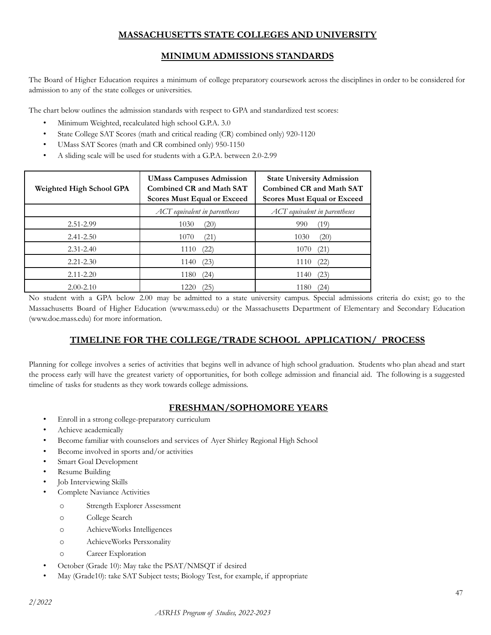# **MASSACHUSETTS STATE COLLEGES AND UNIVERSITY**

# **MINIMUM ADMISSIONS STANDARDS**

The Board of Higher Education requires a minimum of college preparatory coursework across the disciplines in order to be considered for admission to any of the state colleges or universities.

The chart below outlines the admission standards with respect to GPA and standardized test scores:

- Minimum Weighted, recalculated high school G.P.A. 3.0
- State College SAT Scores (math and critical reading (CR) combined only) 920-1120
- UMass SAT Scores (math and CR combined only) 950-1150
- A sliding scale will be used for students with a G.P.A. between 2.0-2.99

| Weighted High School GPA | <b>UMass Campuses Admission</b><br><b>Combined CR and Math SAT</b><br><b>Scores Must Equal or Exceed</b> | <b>State University Admission</b><br>Combined CR and Math SAT<br><b>Scores Must Equal or Exceed</b> |
|--------------------------|----------------------------------------------------------------------------------------------------------|-----------------------------------------------------------------------------------------------------|
|                          | ACT equivalent in parentheses                                                                            | ACT equivalent in parentheses                                                                       |
| 2.51-2.99                | 1030<br>(20)                                                                                             | 990<br>(19)                                                                                         |
| $2.41 - 2.50$            | (21)<br>1070                                                                                             | 1030<br>(20)                                                                                        |
| $2.31 - 2.40$            | (22)<br>1110                                                                                             | (21)<br>1070                                                                                        |
| $2.21 - 2.30$            | (23)<br>1140                                                                                             | (22)<br>1110                                                                                        |
| $2.11 - 2.20$            | 1180<br>(24)                                                                                             | (23)<br>1140                                                                                        |
| $2.00 - 2.10$            | 1220<br>(25)                                                                                             | 1180<br>(24)                                                                                        |

No student with a GPA below 2.00 may be admitted to a state university campus. Special admissions criteria do exist; go to the Massachusetts Board of Higher Education (www.mass.edu) or the Massachusetts Department of Elementary and Secondary Education (www.doe.mass.edu) for more information.

# **TIMELINE FOR THE COLLEGE/TRADE SCHOOL APPLICATION/ PROCESS**

<span id="page-46-0"></span>Planning for college involves a series of activities that begins well in advance of high school graduation. Students who plan ahead and start the process early will have the greatest variety of opportunities, for both college admission and financial aid. The following is a suggested timeline of tasks for students as they work towards college admissions.

### **FRESHMAN/SOPHOMORE YEARS**

- Enroll in a strong college-preparatory curriculum
- Achieve academically
- Become familiar with counselors and services of Ayer Shirley Regional High School
- Become involved in sports and/or activities
- Smart Goal Development
- Resume Building
- Job Interviewing Skills
- Complete Naviance Activities
	- o Strength Explorer Assessment
	- o College Search
	- o AchieveWorks Intelligences
	- o AchieveWorks Persxonality
	- o Career Exploration
- October (Grade 10): May take the PSAT/NMSQT if desired
- May (Grade10): take SAT Subject tests; Biology Test, for example, if appropriate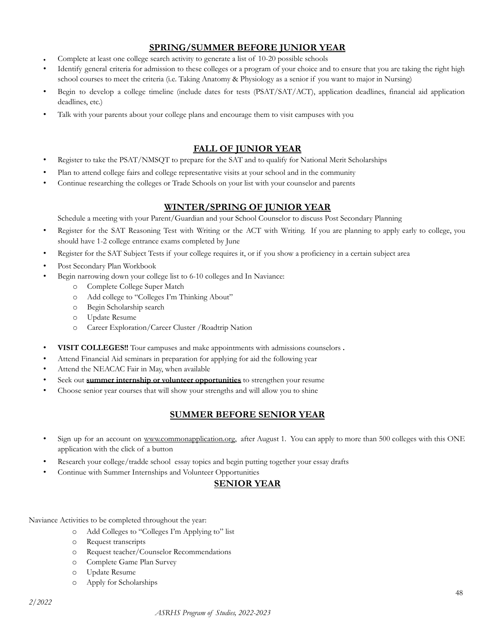# **SPRING/SUMMER BEFORE JUNIOR YEAR**

- Complete at least one college search activity to generate a list of 10-20 possible schools
- Identify general criteria for admission to these colleges or a program of your choice and to ensure that you are taking the right high school courses to meet the criteria (i.e. Taking Anatomy & Physiology as a senior if you want to major in Nursing)
- Begin to develop a college timeline (include dates for tests (PSAT/SAT/ACT), application deadlines, financial aid application deadlines, etc.)
- Talk with your parents about your college plans and encourage them to visit campuses with you

# **FALL OF JUNIOR YEAR**

- Register to take the PSAT/NMSQT to prepare for the SAT and to qualify for National Merit Scholarships
- Plan to attend college fairs and college representative visits at your school and in the community
- Continue researching the colleges or Trade Schools on your list with your counselor and parents

### **WINTER/SPRING OF JUNIOR YEAR**

Schedule a meeting with your Parent/Guardian and your School Counselor to discuss Post Secondary Planning

- Register for the SAT Reasoning Test with Writing or the ACT with Writing. If you are planning to apply early to college, you should have 1-2 college entrance exams completed by June
- Register for the SAT Subject Tests if your college requires it, or if you show a proficiency in a certain subject area
- Post Secondary Plan Workbook
- Begin narrowing down your college list to 6-10 colleges and In Naviance:
	- o Complete College Super Match
		- o Add college to "Colleges I'm Thinking About"
		- o Begin Scholarship search
		- o Update Resume
		- o Career Exploration/Career Cluster /Roadtrip Nation
- **VISIT COLLEGES!!** Tour campuses and make appointments with admissions counselors **.**
- Attend Financial Aid seminars in preparation for applying for aid the following year
- Attend the NEACAC Fair in May, when available
- Seek out **summer internship or volunteer opportunities** to strengthen your resume
- Choose senior year courses that will show your strengths and will allow you to shine

# **SUMMER BEFORE SENIOR YEAR**

- Sign up for an account on [www.commonapplication.org,](http://www.commonapplication.org/) after August 1. You can apply to more than 500 colleges with this ONE application with the click of a button
- Research your college/tradde school essay topics and begin putting together your essay drafts
- Continue with Summer Internships and Volunteer Opportunities

### **SENIOR YEAR**

Naviance Activities to be completed throughout the year:

- o Add Colleges to "Colleges I'm Applying to" list
- o Request transcripts
- o Request teacher/Counselor Recommendations
- o Complete Game Plan Survey
- o Update Resume
- o Apply for Scholarships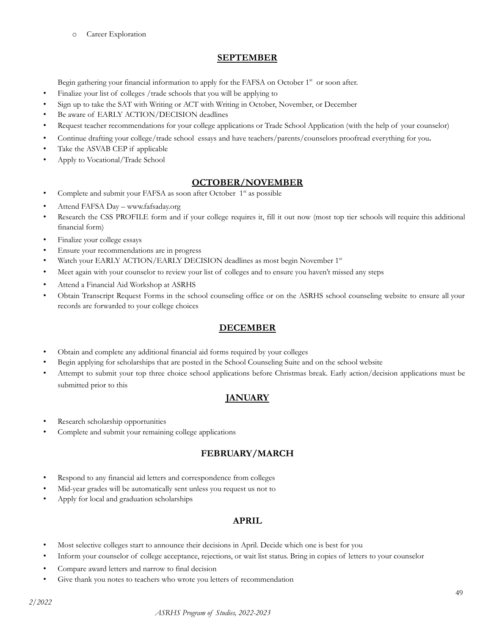o Career Exploration

### **SEPTEMBER**

Begin gathering your financial information to apply for the FAFSA on October 1<sup>st</sup> or soon after.

- Finalize your list of colleges /trade schools that you will be applying to
- Sign up to take the SAT with Writing or ACT with Writing in October, November, or December
- Be aware of EARLY ACTION/DECISION deadlines
- Request teacher recommendations for your college applications or Trade School Application (with the help of your counselor)
- Continue drafting your college/trade school essays and have teachers/parents/counselors proofread everything for you**.**
- Take the ASVAB CEP if applicable
- Apply to Vocational/Trade School

### **OCTOBER/NOVEMBER**

- Complete and submit your FAFSA as soon after October 1<sup>st</sup> as possible
- Attend FAFSA Day www.fafsaday.org
- Research the CSS PROFILE form and if your college requires it, fill it out now (most top tier schools will require this additional financial form)
- Finalize your college essays
- Ensure your recommendations are in progress
- Watch your EARLY ACTION/EARLY DECISION deadlines as most begin November 1st
- Meet again with your counselor to review your list of colleges and to ensure you haven't missed any steps
- Attend a Financial Aid Workshop at ASRHS
- Obtain Transcript Request Forms in the school counseling office or on the ASRHS school counseling website to ensure all your records are forwarded to your college choices

### **DECEMBER**

- Obtain and complete any additional financial aid forms required by your colleges
- Begin applying for scholarships that are posted in the School Counseling Suite and on the school website
- Attempt to submit your top three choice school applications before Christmas break. Early action/decision applications must be submitted prior to this

### **JANUARY**

- Research scholarship opportunities
- Complete and submit your remaining college applications

### **FEBRUARY/MARCH**

- Respond to any financial aid letters and correspondence from colleges
- Mid-year grades will be automatically sent unless you request us not to
- Apply for local and graduation scholarships

### **APRIL**

- Most selective colleges start to announce their decisions in April. Decide which one is best for you
- Inform your counselor of college acceptance, rejections, or wait list status. Bring in copies of letters to your counselor
- Compare award letters and narrow to final decision
- Give thank you notes to teachers who wrote you letters of recommendation